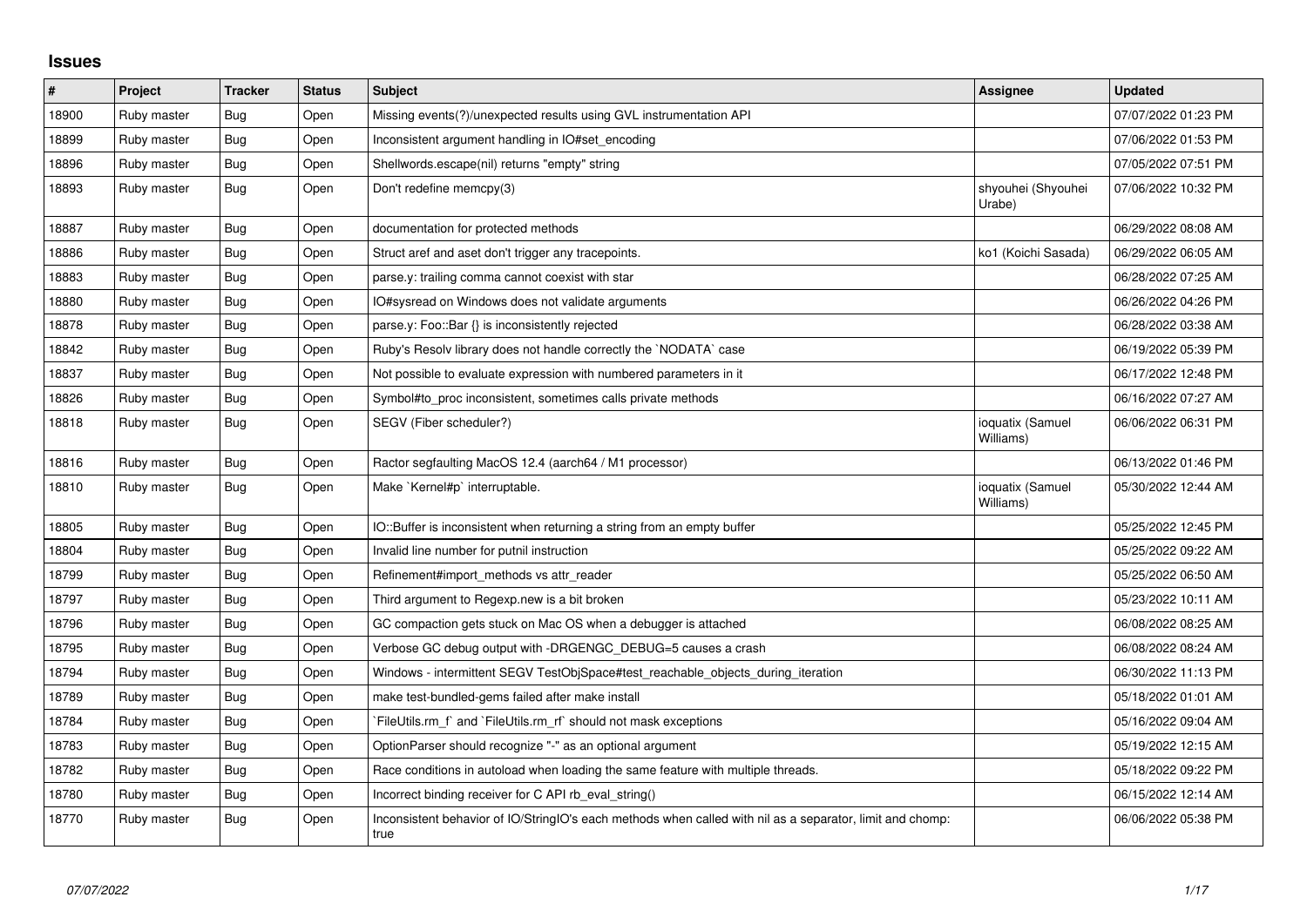## **Issues**

| #     | Project     | <b>Tracker</b> | <b>Status</b> | <b>Subject</b>                                                                                                    | <b>Assignee</b>               | <b>Updated</b>      |
|-------|-------------|----------------|---------------|-------------------------------------------------------------------------------------------------------------------|-------------------------------|---------------------|
| 18900 | Ruby master | Bug            | Open          | Missing events(?)/unexpected results using GVL instrumentation API                                                |                               | 07/07/2022 01:23 PM |
| 18899 | Ruby master | Bug            | Open          | Inconsistent argument handling in IO#set_encoding                                                                 |                               | 07/06/2022 01:53 PM |
| 18896 | Ruby master | Bug            | Open          | Shellwords.escape(nil) returns "empty" string                                                                     |                               | 07/05/2022 07:51 PM |
| 18893 | Ruby master | Bug            | Open          | Don't redefine memcpy(3)                                                                                          | shyouhei (Shyouhei<br>Urabe)  | 07/06/2022 10:32 PM |
| 18887 | Ruby master | <b>Bug</b>     | Open          | documentation for protected methods                                                                               |                               | 06/29/2022 08:08 AM |
| 18886 | Ruby master | Bug            | Open          | Struct aref and aset don't trigger any tracepoints.                                                               | ko1 (Koichi Sasada)           | 06/29/2022 06:05 AM |
| 18883 | Ruby master | Bug            | Open          | parse.y: trailing comma cannot coexist with star                                                                  |                               | 06/28/2022 07:25 AM |
| 18880 | Ruby master | <b>Bug</b>     | Open          | IO#sysread on Windows does not validate arguments                                                                 |                               | 06/26/2022 04:26 PM |
| 18878 | Ruby master | Bug            | Open          | parse.y: Foo::Bar {} is inconsistently rejected                                                                   |                               | 06/28/2022 03:38 AM |
| 18842 | Ruby master | Bug            | Open          | Ruby's Resolv library does not handle correctly the `NODATA` case                                                 |                               | 06/19/2022 05:39 PM |
| 18837 | Ruby master | Bug            | Open          | Not possible to evaluate expression with numbered parameters in it                                                |                               | 06/17/2022 12:48 PM |
| 18826 | Ruby master | Bug            | Open          | Symbol#to_proc inconsistent, sometimes calls private methods                                                      |                               | 06/16/2022 07:27 AM |
| 18818 | Ruby master | Bug            | Open          | SEGV (Fiber scheduler?)                                                                                           | ioquatix (Samuel<br>Williams) | 06/06/2022 06:31 PM |
| 18816 | Ruby master | Bug            | Open          | Ractor segfaulting MacOS 12.4 (aarch64 / M1 processor)                                                            |                               | 06/13/2022 01:46 PM |
| 18810 | Ruby master | Bug            | Open          | Make `Kernel#p` interruptable.                                                                                    | ioquatix (Samuel<br>Williams) | 05/30/2022 12:44 AM |
| 18805 | Ruby master | Bug            | Open          | IO::Buffer is inconsistent when returning a string from an empty buffer                                           |                               | 05/25/2022 12:45 PM |
| 18804 | Ruby master | Bug            | Open          | Invalid line number for putnil instruction                                                                        |                               | 05/25/2022 09:22 AM |
| 18799 | Ruby master | Bug            | Open          | Refinement#import methods vs attr reader                                                                          |                               | 05/25/2022 06:50 AM |
| 18797 | Ruby master | Bug            | Open          | Third argument to Regexp.new is a bit broken                                                                      |                               | 05/23/2022 10:11 AM |
| 18796 | Ruby master | Bug            | Open          | GC compaction gets stuck on Mac OS when a debugger is attached                                                    |                               | 06/08/2022 08:25 AM |
| 18795 | Ruby master | Bug            | Open          | Verbose GC debug output with -DRGENGC_DEBUG=5 causes a crash                                                      |                               | 06/08/2022 08:24 AM |
| 18794 | Ruby master | Bug            | Open          | Windows - intermittent SEGV TestObjSpace#test_reachable_objects_during_iteration                                  |                               | 06/30/2022 11:13 PM |
| 18789 | Ruby master | <b>Bug</b>     | Open          | make test-bundled-gems failed after make install                                                                  |                               | 05/18/2022 01:01 AM |
| 18784 | Ruby master | Bug            | Open          | FileUtils.rm f and `FileUtils.rm rf should not mask exceptions                                                    |                               | 05/16/2022 09:04 AM |
| 18783 | Ruby master | <b>Bug</b>     | Open          | OptionParser should recognize "-" as an optional argument                                                         |                               | 05/19/2022 12:15 AM |
| 18782 | Ruby master | Bug            | Open          | Race conditions in autoload when loading the same feature with multiple threads.                                  |                               | 05/18/2022 09:22 PM |
| 18780 | Ruby master | Bug            | Open          | Incorrect binding receiver for C API rb eval string()                                                             |                               | 06/15/2022 12:14 AM |
| 18770 | Ruby master | <b>Bug</b>     | Open          | Inconsistent behavior of IO/StringIO's each methods when called with nil as a separator, limit and chomp:<br>true |                               | 06/06/2022 05:38 PM |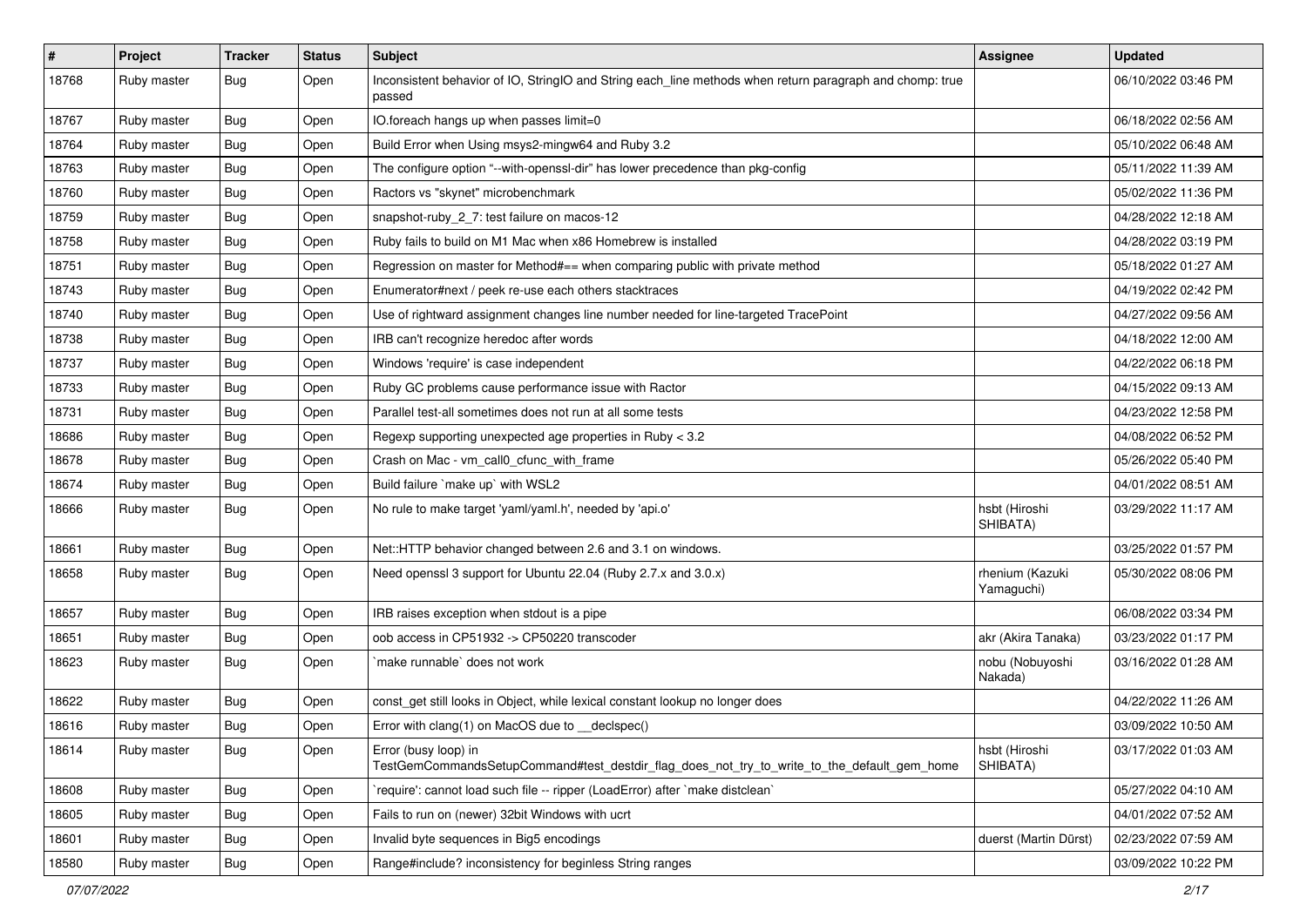| $\vert$ # | Project     | <b>Tracker</b> | <b>Status</b> | Subject                                                                                                             | <b>Assignee</b>               | <b>Updated</b>      |
|-----------|-------------|----------------|---------------|---------------------------------------------------------------------------------------------------------------------|-------------------------------|---------------------|
| 18768     | Ruby master | Bug            | Open          | Inconsistent behavior of IO, StringIO and String each_line methods when return paragraph and chomp: true<br>passed  |                               | 06/10/2022 03:46 PM |
| 18767     | Ruby master | Bug            | Open          | IO.foreach hangs up when passes limit=0                                                                             |                               | 06/18/2022 02:56 AM |
| 18764     | Ruby master | Bug            | Open          | Build Error when Using msys2-mingw64 and Ruby 3.2                                                                   |                               | 05/10/2022 06:48 AM |
| 18763     | Ruby master | Bug            | Open          | The configure option "--with-openssl-dir" has lower precedence than pkg-config                                      |                               | 05/11/2022 11:39 AM |
| 18760     | Ruby master | Bug            | Open          | Ractors vs "skynet" microbenchmark                                                                                  |                               | 05/02/2022 11:36 PM |
| 18759     | Ruby master | <b>Bug</b>     | Open          | snapshot-ruby_2_7: test failure on macos-12                                                                         |                               | 04/28/2022 12:18 AM |
| 18758     | Ruby master | <b>Bug</b>     | Open          | Ruby fails to build on M1 Mac when x86 Homebrew is installed                                                        |                               | 04/28/2022 03:19 PM |
| 18751     | Ruby master | Bug            | Open          | Regression on master for Method#== when comparing public with private method                                        |                               | 05/18/2022 01:27 AM |
| 18743     | Ruby master | Bug            | Open          | Enumerator#next / peek re-use each others stacktraces                                                               |                               | 04/19/2022 02:42 PM |
| 18740     | Ruby master | Bug            | Open          | Use of rightward assignment changes line number needed for line-targeted TracePoint                                 |                               | 04/27/2022 09:56 AM |
| 18738     | Ruby master | <b>Bug</b>     | Open          | IRB can't recognize heredoc after words                                                                             |                               | 04/18/2022 12:00 AM |
| 18737     | Ruby master | <b>Bug</b>     | Open          | Windows 'require' is case independent                                                                               |                               | 04/22/2022 06:18 PM |
| 18733     | Ruby master | <b>Bug</b>     | Open          | Ruby GC problems cause performance issue with Ractor                                                                |                               | 04/15/2022 09:13 AM |
| 18731     | Ruby master | Bug            | Open          | Parallel test-all sometimes does not run at all some tests                                                          |                               | 04/23/2022 12:58 PM |
| 18686     | Ruby master | Bug            | Open          | Regexp supporting unexpected age properties in Ruby < 3.2                                                           |                               | 04/08/2022 06:52 PM |
| 18678     | Ruby master | <b>Bug</b>     | Open          | Crash on Mac - vm_call0_cfunc_with_frame                                                                            |                               | 05/26/2022 05:40 PM |
| 18674     | Ruby master | <b>Bug</b>     | Open          | Build failure 'make up' with WSL2                                                                                   |                               | 04/01/2022 08:51 AM |
| 18666     | Ruby master | <b>Bug</b>     | Open          | No rule to make target 'yaml/yaml.h', needed by 'api.o'                                                             | hsbt (Hiroshi<br>SHIBATA)     | 03/29/2022 11:17 AM |
| 18661     | Ruby master | <b>Bug</b>     | Open          | Net::HTTP behavior changed between 2.6 and 3.1 on windows.                                                          |                               | 03/25/2022 01:57 PM |
| 18658     | Ruby master | Bug            | Open          | Need openssl 3 support for Ubuntu 22.04 (Ruby 2.7.x and 3.0.x)                                                      | rhenium (Kazuki<br>Yamaguchi) | 05/30/2022 08:06 PM |
| 18657     | Ruby master | Bug            | Open          | IRB raises exception when stdout is a pipe                                                                          |                               | 06/08/2022 03:34 PM |
| 18651     | Ruby master | <b>Bug</b>     | Open          | oob access in CP51932 -> CP50220 transcoder                                                                         | akr (Akira Tanaka)            | 03/23/2022 01:17 PM |
| 18623     | Ruby master | <b>Bug</b>     | Open          | `make runnable` does not work                                                                                       | nobu (Nobuyoshi<br>Nakada)    | 03/16/2022 01:28 AM |
| 18622     | Ruby master | <b>Bug</b>     | Open          | const_get still looks in Object, while lexical constant lookup no longer does                                       |                               | 04/22/2022 11:26 AM |
| 18616     | Ruby master | <b>Bug</b>     | Open          | Error with clang(1) on MacOS due to _declspec()                                                                     |                               | 03/09/2022 10:50 AM |
| 18614     | Ruby master | <b>Bug</b>     | Open          | Error (busy loop) in<br>TestGemCommandsSetupCommand#test_destdir_flag_does_not_try_to_write_to_the_default_gem_home | hsbt (Hiroshi<br>SHIBATA)     | 03/17/2022 01:03 AM |
| 18608     | Ruby master | <b>Bug</b>     | Open          | 'require': cannot load such file -- ripper (LoadError) after 'make distclean'                                       |                               | 05/27/2022 04:10 AM |
| 18605     | Ruby master | <b>Bug</b>     | Open          | Fails to run on (newer) 32bit Windows with ucrt                                                                     |                               | 04/01/2022 07:52 AM |
| 18601     | Ruby master | <b>Bug</b>     | Open          | Invalid byte sequences in Big5 encodings                                                                            | duerst (Martin Dürst)         | 02/23/2022 07:59 AM |
| 18580     | Ruby master | Bug            | Open          | Range#include? inconsistency for beginless String ranges                                                            |                               | 03/09/2022 10:22 PM |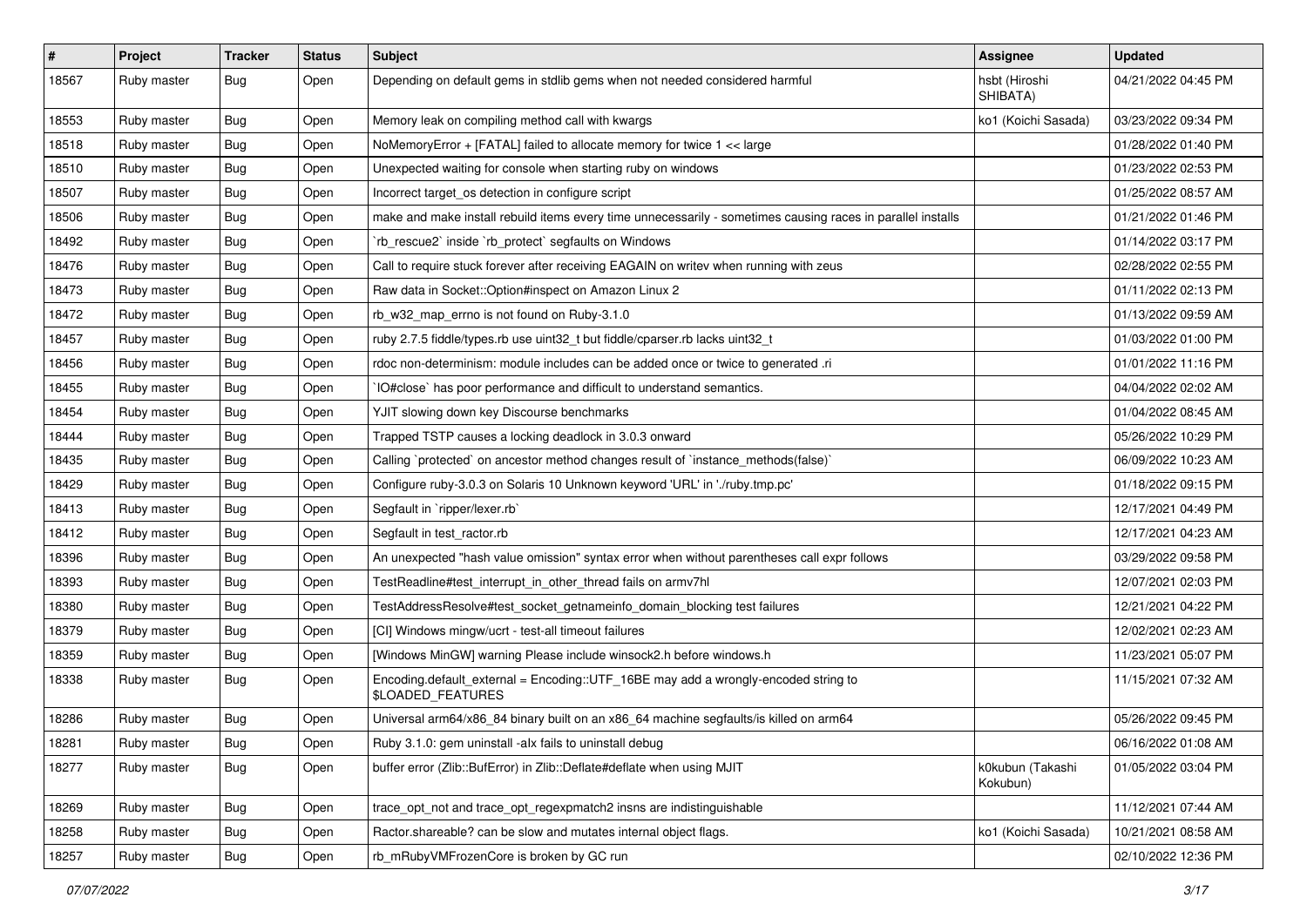| $\#$  | Project     | <b>Tracker</b> | <b>Status</b> | <b>Subject</b>                                                                                              | <b>Assignee</b>              | <b>Updated</b>      |
|-------|-------------|----------------|---------------|-------------------------------------------------------------------------------------------------------------|------------------------------|---------------------|
| 18567 | Ruby master | Bug            | Open          | Depending on default gems in stdlib gems when not needed considered harmful                                 | hsbt (Hiroshi<br>SHIBATA)    | 04/21/2022 04:45 PM |
| 18553 | Ruby master | Bug            | Open          | Memory leak on compiling method call with kwargs                                                            | ko1 (Koichi Sasada)          | 03/23/2022 09:34 PM |
| 18518 | Ruby master | Bug            | Open          | NoMemoryError + [FATAL] failed to allocate memory for twice 1 << large                                      |                              | 01/28/2022 01:40 PM |
| 18510 | Ruby master | Bug            | Open          | Unexpected waiting for console when starting ruby on windows                                                |                              | 01/23/2022 02:53 PM |
| 18507 | Ruby master | <b>Bug</b>     | Open          | Incorrect target_os detection in configure script                                                           |                              | 01/25/2022 08:57 AM |
| 18506 | Ruby master | Bug            | Open          | make and make install rebuild items every time unnecessarily - sometimes causing races in parallel installs |                              | 01/21/2022 01:46 PM |
| 18492 | Ruby master | <b>Bug</b>     | Open          | 'rb_rescue2' inside 'rb_protect' segfaults on Windows                                                       |                              | 01/14/2022 03:17 PM |
| 18476 | Ruby master | Bug            | Open          | Call to require stuck forever after receiving EAGAIN on writev when running with zeus                       |                              | 02/28/2022 02:55 PM |
| 18473 | Ruby master | Bug            | Open          | Raw data in Socket:: Option#inspect on Amazon Linux 2                                                       |                              | 01/11/2022 02:13 PM |
| 18472 | Ruby master | Bug            | Open          | rb_w32_map_errno is not found on Ruby-3.1.0                                                                 |                              | 01/13/2022 09:59 AM |
| 18457 | Ruby master | Bug            | Open          | ruby 2.7.5 fiddle/types.rb use uint32_t but fiddle/cparser.rb lacks uint32_t                                |                              | 01/03/2022 01:00 PM |
| 18456 | Ruby master | <b>Bug</b>     | Open          | rdoc non-determinism: module includes can be added once or twice to generated .ri                           |                              | 01/01/2022 11:16 PM |
| 18455 | Ruby master | <b>Bug</b>     | Open          | IO#close` has poor performance and difficult to understand semantics.                                       |                              | 04/04/2022 02:02 AM |
| 18454 | Ruby master | Bug            | Open          | YJIT slowing down key Discourse benchmarks                                                                  |                              | 01/04/2022 08:45 AM |
| 18444 | Ruby master | <b>Bug</b>     | Open          | Trapped TSTP causes a locking deadlock in 3.0.3 onward                                                      |                              | 05/26/2022 10:29 PM |
| 18435 | Ruby master | Bug            | Open          | Calling `protected` on ancestor method changes result of `instance_methods(false)`                          |                              | 06/09/2022 10:23 AM |
| 18429 | Ruby master | Bug            | Open          | Configure ruby-3.0.3 on Solaris 10 Unknown keyword 'URL' in './ruby.tmp.pc'                                 |                              | 01/18/2022 09:15 PM |
| 18413 | Ruby master | Bug            | Open          | Segfault in `ripper/lexer.rb`                                                                               |                              | 12/17/2021 04:49 PM |
| 18412 | Ruby master | Bug            | Open          | Segfault in test ractor.rb                                                                                  |                              | 12/17/2021 04:23 AM |
| 18396 | Ruby master | Bug            | Open          | An unexpected "hash value omission" syntax error when without parentheses call expr follows                 |                              | 03/29/2022 09:58 PM |
| 18393 | Ruby master | <b>Bug</b>     | Open          | TestReadline#test_interrupt_in_other_thread fails on armv7hl                                                |                              | 12/07/2021 02:03 PM |
| 18380 | Ruby master | Bug            | Open          | TestAddressResolve#test_socket_getnameinfo_domain_blocking test failures                                    |                              | 12/21/2021 04:22 PM |
| 18379 | Ruby master | Bug            | Open          | [CI] Windows mingw/ucrt - test-all timeout failures                                                         |                              | 12/02/2021 02:23 AM |
| 18359 | Ruby master | Bug            | Open          | [Windows MinGW] warning Please include winsock2.h before windows.h                                          |                              | 11/23/2021 05:07 PM |
| 18338 | Ruby master | Bug            | Open          | Encoding.default_external = Encoding::UTF_16BE may add a wrongly-encoded string to<br>\$LOADED_FEATURES     |                              | 11/15/2021 07:32 AM |
| 18286 | Ruby master | <b>Bug</b>     | Open          | Universal arm64/x86_84 binary built on an x86_64 machine segfaults/is killed on arm64                       |                              | 05/26/2022 09:45 PM |
| 18281 | Ruby master | <b>Bug</b>     | Open          | Ruby 3.1.0: gem uninstall -alx fails to uninstall debug                                                     |                              | 06/16/2022 01:08 AM |
| 18277 | Ruby master | <b>Bug</b>     | Open          | buffer error (Zlib::BufError) in Zlib::Deflate#deflate when using MJIT                                      | k0kubun (Takashi<br>Kokubun) | 01/05/2022 03:04 PM |
| 18269 | Ruby master | <b>Bug</b>     | Open          | trace opt not and trace opt regexpmatch2 insns are indistinguishable                                        |                              | 11/12/2021 07:44 AM |
| 18258 | Ruby master | <b>Bug</b>     | Open          | Ractor shareable? can be slow and mutates internal object flags.                                            | ko1 (Koichi Sasada)          | 10/21/2021 08:58 AM |
| 18257 | Ruby master | Bug            | Open          | rb_mRubyVMFrozenCore is broken by GC run                                                                    |                              | 02/10/2022 12:36 PM |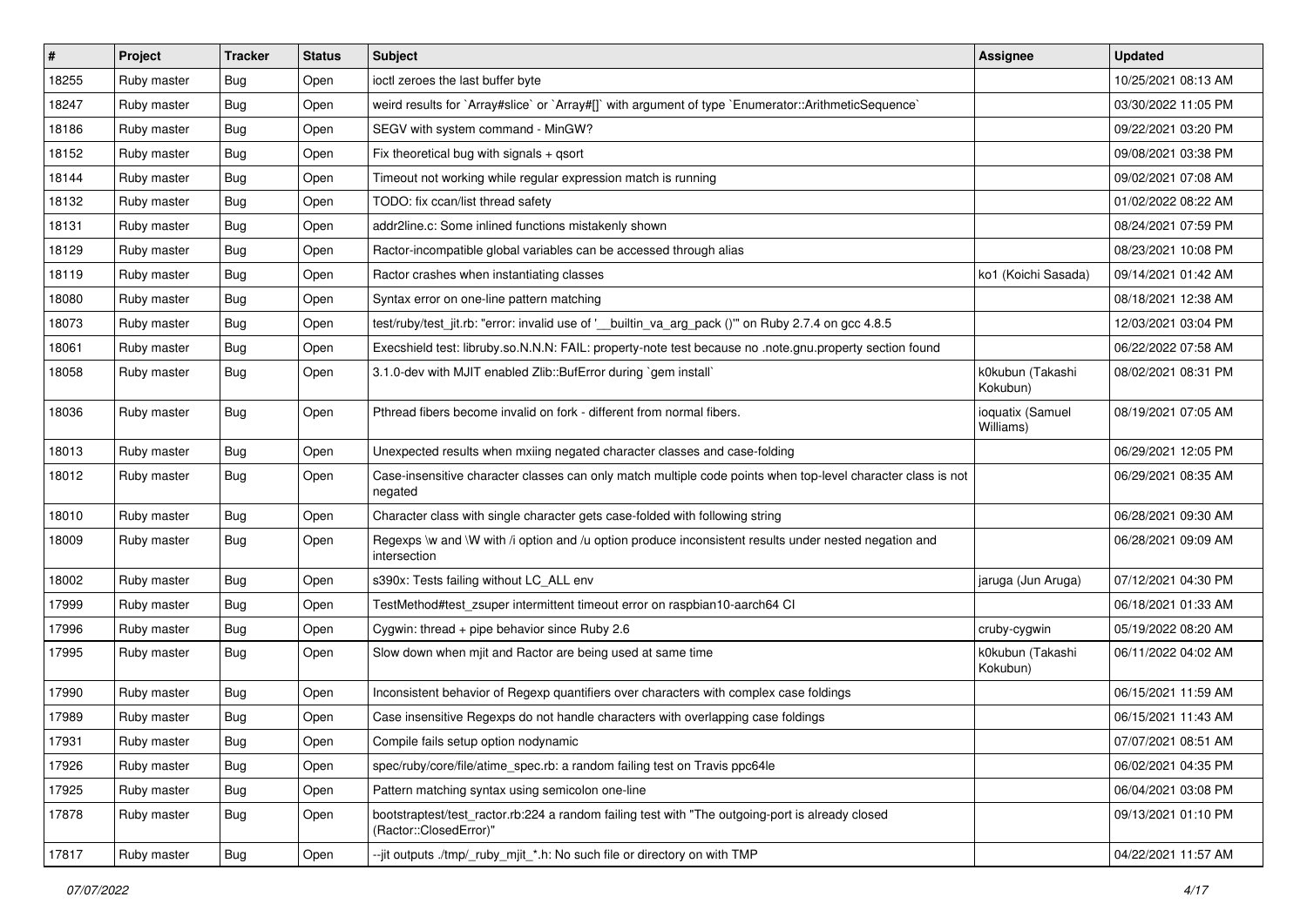| $\sharp$ | Project     | <b>Tracker</b> | <b>Status</b> | Subject                                                                                                                    | <b>Assignee</b>               | <b>Updated</b>      |
|----------|-------------|----------------|---------------|----------------------------------------------------------------------------------------------------------------------------|-------------------------------|---------------------|
| 18255    | Ruby master | Bug            | Open          | ioctl zeroes the last buffer byte                                                                                          |                               | 10/25/2021 08:13 AM |
| 18247    | Ruby master | Bug            | Open          | weird results for `Array#slice` or `Array#[]` with argument of type `Enumerator::ArithmeticSequence`                       |                               | 03/30/2022 11:05 PM |
| 18186    | Ruby master | Bug            | Open          | SEGV with system command - MinGW?                                                                                          |                               | 09/22/2021 03:20 PM |
| 18152    | Ruby master | <b>Bug</b>     | Open          | Fix theoretical bug with signals $+$ qsort                                                                                 |                               | 09/08/2021 03:38 PM |
| 18144    | Ruby master | <b>Bug</b>     | Open          | Timeout not working while regular expression match is running                                                              |                               | 09/02/2021 07:08 AM |
| 18132    | Ruby master | Bug            | Open          | TODO: fix ccan/list thread safety                                                                                          |                               | 01/02/2022 08:22 AM |
| 18131    | Ruby master | Bug            | Open          | addr2line.c: Some inlined functions mistakenly shown                                                                       |                               | 08/24/2021 07:59 PM |
| 18129    | Ruby master | <b>Bug</b>     | Open          | Ractor-incompatible global variables can be accessed through alias                                                         |                               | 08/23/2021 10:08 PM |
| 18119    | Ruby master | Bug            | Open          | Ractor crashes when instantiating classes                                                                                  | ko1 (Koichi Sasada)           | 09/14/2021 01:42 AM |
| 18080    | Ruby master | <b>Bug</b>     | Open          | Syntax error on one-line pattern matching                                                                                  |                               | 08/18/2021 12:38 AM |
| 18073    | Ruby master | <b>Bug</b>     | Open          | test/ruby/test_jit.rb: "error: invalid use of '__builtin_va_arg_pack ()" on Ruby 2.7.4 on gcc 4.8.5                        |                               | 12/03/2021 03:04 PM |
| 18061    | Ruby master | <b>Bug</b>     | Open          | Execshield test: libruby.so.N.N.N: FAIL: property-note test because no .note.gnu.property section found                    |                               | 06/22/2022 07:58 AM |
| 18058    | Ruby master | <b>Bug</b>     | Open          | 3.1.0-dev with MJIT enabled Zlib::BufError during `gem install`                                                            | k0kubun (Takashi<br>Kokubun)  | 08/02/2021 08:31 PM |
| 18036    | Ruby master | Bug            | Open          | Pthread fibers become invalid on fork - different from normal fibers.                                                      | ioquatix (Samuel<br>Williams) | 08/19/2021 07:05 AM |
| 18013    | Ruby master | Bug            | Open          | Unexpected results when mxiing negated character classes and case-folding                                                  |                               | 06/29/2021 12:05 PM |
| 18012    | Ruby master | Bug            | Open          | Case-insensitive character classes can only match multiple code points when top-level character class is not<br>negated    |                               | 06/29/2021 08:35 AM |
| 18010    | Ruby master | <b>Bug</b>     | Open          | Character class with single character gets case-folded with following string                                               |                               | 06/28/2021 09:30 AM |
| 18009    | Ruby master | <b>Bug</b>     | Open          | Regexps \w and \W with /i option and /u option produce inconsistent results under nested negation and<br>intersection      |                               | 06/28/2021 09:09 AM |
| 18002    | Ruby master | <b>Bug</b>     | Open          | s390x: Tests failing without LC_ALL env                                                                                    | jaruga (Jun Aruga)            | 07/12/2021 04:30 PM |
| 17999    | Ruby master | Bug            | Open          | TestMethod#test_zsuper intermittent timeout error on raspbian10-aarch64 Cl                                                 |                               | 06/18/2021 01:33 AM |
| 17996    | Ruby master | <b>Bug</b>     | Open          | Cygwin: thread + pipe behavior since Ruby 2.6                                                                              | cruby-cygwin                  | 05/19/2022 08:20 AM |
| 17995    | Ruby master | Bug            | Open          | Slow down when mjit and Ractor are being used at same time                                                                 | k0kubun (Takashi<br>Kokubun)  | 06/11/2022 04:02 AM |
| 17990    | Ruby master | Bug            | Open          | Inconsistent behavior of Regexp quantifiers over characters with complex case foldings                                     |                               | 06/15/2021 11:59 AM |
| 17989    | Ruby master | <b>Bug</b>     | Open          | Case insensitive Regexps do not handle characters with overlapping case foldings                                           |                               | 06/15/2021 11:43 AM |
| 17931    | Ruby master | Bug            | Open          | Compile fails setup option nodynamic                                                                                       |                               | 07/07/2021 08:51 AM |
| 17926    | Ruby master | <b>Bug</b>     | Open          | spec/ruby/core/file/atime_spec.rb: a random failing test on Travis ppc64le                                                 |                               | 06/02/2021 04:35 PM |
| 17925    | Ruby master | <b>Bug</b>     | Open          | Pattern matching syntax using semicolon one-line                                                                           |                               | 06/04/2021 03:08 PM |
| 17878    | Ruby master | <b>Bug</b>     | Open          | bootstraptest/test_ractor.rb:224 a random failing test with "The outgoing-port is already closed<br>(Ractor::ClosedError)" |                               | 09/13/2021 01:10 PM |
| 17817    | Ruby master | <b>Bug</b>     | Open          | --jit outputs ./tmp/_ruby_mjit_*.h: No such file or directory on with TMP                                                  |                               | 04/22/2021 11:57 AM |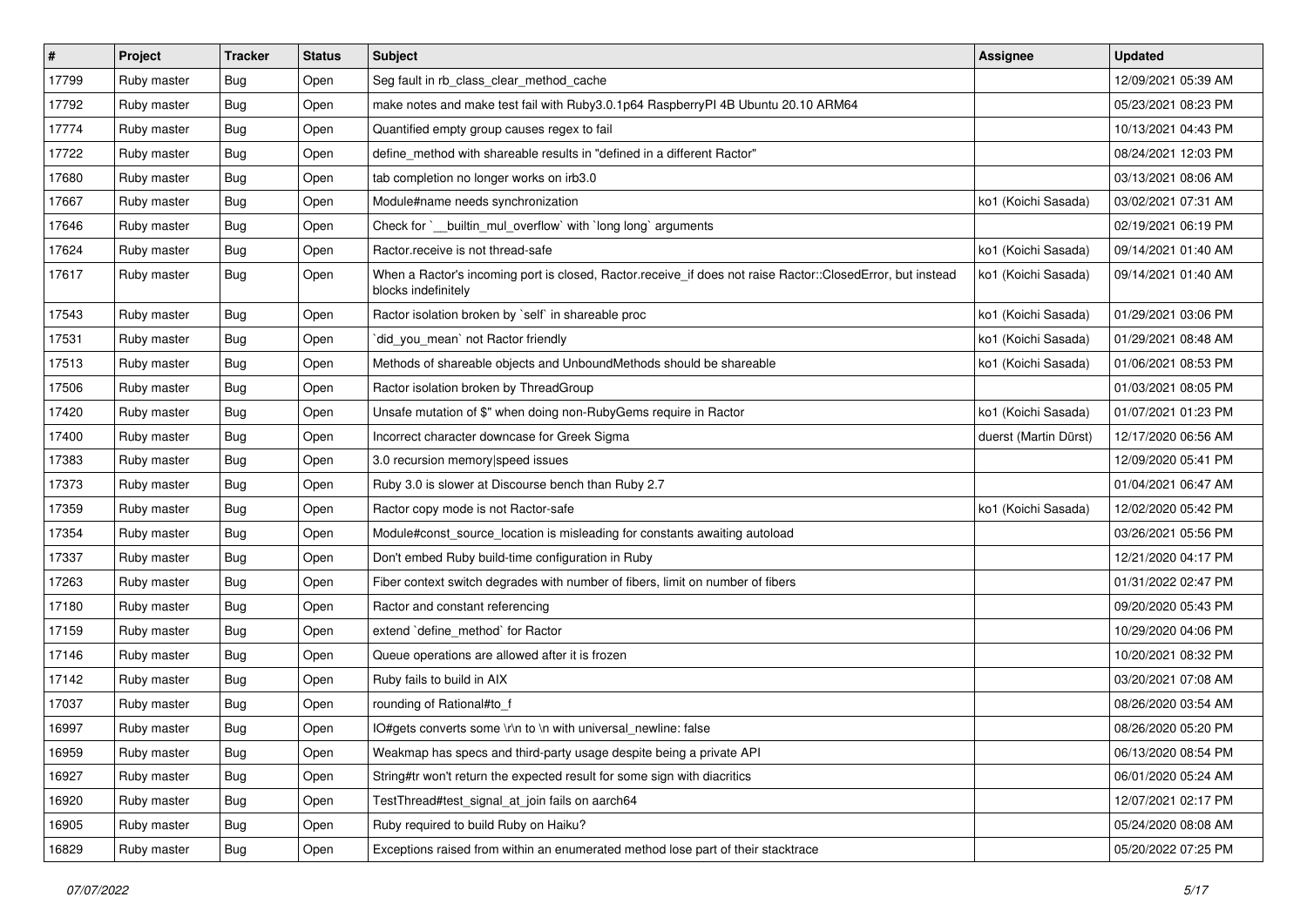| $\pmb{\#}$ | Project     | <b>Tracker</b> | <b>Status</b> | Subject                                                                                                                           | <b>Assignee</b>       | <b>Updated</b>      |
|------------|-------------|----------------|---------------|-----------------------------------------------------------------------------------------------------------------------------------|-----------------------|---------------------|
| 17799      | Ruby master | <b>Bug</b>     | Open          | Seg fault in rb_class_clear_method_cache                                                                                          |                       | 12/09/2021 05:39 AM |
| 17792      | Ruby master | Bug            | Open          | make notes and make test fail with Ruby3.0.1p64 RaspberryPI 4B Ubuntu 20.10 ARM64                                                 |                       | 05/23/2021 08:23 PM |
| 17774      | Ruby master | <b>Bug</b>     | Open          | Quantified empty group causes regex to fail                                                                                       |                       | 10/13/2021 04:43 PM |
| 17722      | Ruby master | Bug            | Open          | define method with shareable results in "defined in a different Ractor"                                                           |                       | 08/24/2021 12:03 PM |
| 17680      | Ruby master | Bug            | Open          | tab completion no longer works on irb3.0                                                                                          |                       | 03/13/2021 08:06 AM |
| 17667      | Ruby master | <b>Bug</b>     | Open          | Module#name needs synchronization                                                                                                 | ko1 (Koichi Sasada)   | 03/02/2021 07:31 AM |
| 17646      | Ruby master | Bug            | Open          | Check for `__builtin_mul_overflow` with `long long` arguments                                                                     |                       | 02/19/2021 06:19 PM |
| 17624      | Ruby master | <b>Bug</b>     | Open          | Ractor.receive is not thread-safe                                                                                                 | ko1 (Koichi Sasada)   | 09/14/2021 01:40 AM |
| 17617      | Ruby master | Bug            | Open          | When a Ractor's incoming port is closed, Ractor.receive_if does not raise Ractor::ClosedError, but instead<br>blocks indefinitely | ko1 (Koichi Sasada)   | 09/14/2021 01:40 AM |
| 17543      | Ruby master | Bug            | Open          | Ractor isolation broken by `self` in shareable proc                                                                               | ko1 (Koichi Sasada)   | 01/29/2021 03:06 PM |
| 17531      | Ruby master | Bug            | Open          | `did_you_mean` not Ractor friendly                                                                                                | ko1 (Koichi Sasada)   | 01/29/2021 08:48 AM |
| 17513      | Ruby master | Bug            | Open          | Methods of shareable objects and UnboundMethods should be shareable                                                               | ko1 (Koichi Sasada)   | 01/06/2021 08:53 PM |
| 17506      | Ruby master | Bug            | Open          | Ractor isolation broken by ThreadGroup                                                                                            |                       | 01/03/2021 08:05 PM |
| 17420      | Ruby master | <b>Bug</b>     | Open          | Unsafe mutation of \$" when doing non-RubyGems require in Ractor                                                                  | ko1 (Koichi Sasada)   | 01/07/2021 01:23 PM |
| 17400      | Ruby master | <b>Bug</b>     | Open          | Incorrect character downcase for Greek Sigma                                                                                      | duerst (Martin Dürst) | 12/17/2020 06:56 AM |
| 17383      | Ruby master | Bug            | Open          | 3.0 recursion memory speed issues                                                                                                 |                       | 12/09/2020 05:41 PM |
| 17373      | Ruby master | Bug            | Open          | Ruby 3.0 is slower at Discourse bench than Ruby 2.7                                                                               |                       | 01/04/2021 06:47 AM |
| 17359      | Ruby master | Bug            | Open          | Ractor copy mode is not Ractor-safe                                                                                               | ko1 (Koichi Sasada)   | 12/02/2020 05:42 PM |
| 17354      | Ruby master | Bug            | Open          | Module#const_source_location is misleading for constants awaiting autoload                                                        |                       | 03/26/2021 05:56 PM |
| 17337      | Ruby master | Bug            | Open          | Don't embed Ruby build-time configuration in Ruby                                                                                 |                       | 12/21/2020 04:17 PM |
| 17263      | Ruby master | <b>Bug</b>     | Open          | Fiber context switch degrades with number of fibers, limit on number of fibers                                                    |                       | 01/31/2022 02:47 PM |
| 17180      | Ruby master | <b>Bug</b>     | Open          | Ractor and constant referencing                                                                                                   |                       | 09/20/2020 05:43 PM |
| 17159      | Ruby master | Bug            | Open          | extend `define_method` for Ractor                                                                                                 |                       | 10/29/2020 04:06 PM |
| 17146      | Ruby master | Bug            | Open          | Queue operations are allowed after it is frozen                                                                                   |                       | 10/20/2021 08:32 PM |
| 17142      | Ruby master | Bug            | Open          | Ruby fails to build in AIX                                                                                                        |                       | 03/20/2021 07:08 AM |
| 17037      | Ruby master | Bug            | Open          | rounding of Rational#to_f                                                                                                         |                       | 08/26/2020 03:54 AM |
| 16997      | Ruby master | <b>Bug</b>     | Open          | IO#gets converts some \r\n to \n with universal newline: false                                                                    |                       | 08/26/2020 05:20 PM |
| 16959      | Ruby master | <b>Bug</b>     | Open          | Weakmap has specs and third-party usage despite being a private API                                                               |                       | 06/13/2020 08:54 PM |
| 16927      | Ruby master | <b>Bug</b>     | Open          | String#tr won't return the expected result for some sign with diacritics                                                          |                       | 06/01/2020 05:24 AM |
| 16920      | Ruby master | <b>Bug</b>     | Open          | TestThread#test_signal_at_join fails on aarch64                                                                                   |                       | 12/07/2021 02:17 PM |
| 16905      | Ruby master | <b>Bug</b>     | Open          | Ruby required to build Ruby on Haiku?                                                                                             |                       | 05/24/2020 08:08 AM |
| 16829      | Ruby master | Bug            | Open          | Exceptions raised from within an enumerated method lose part of their stacktrace                                                  |                       | 05/20/2022 07:25 PM |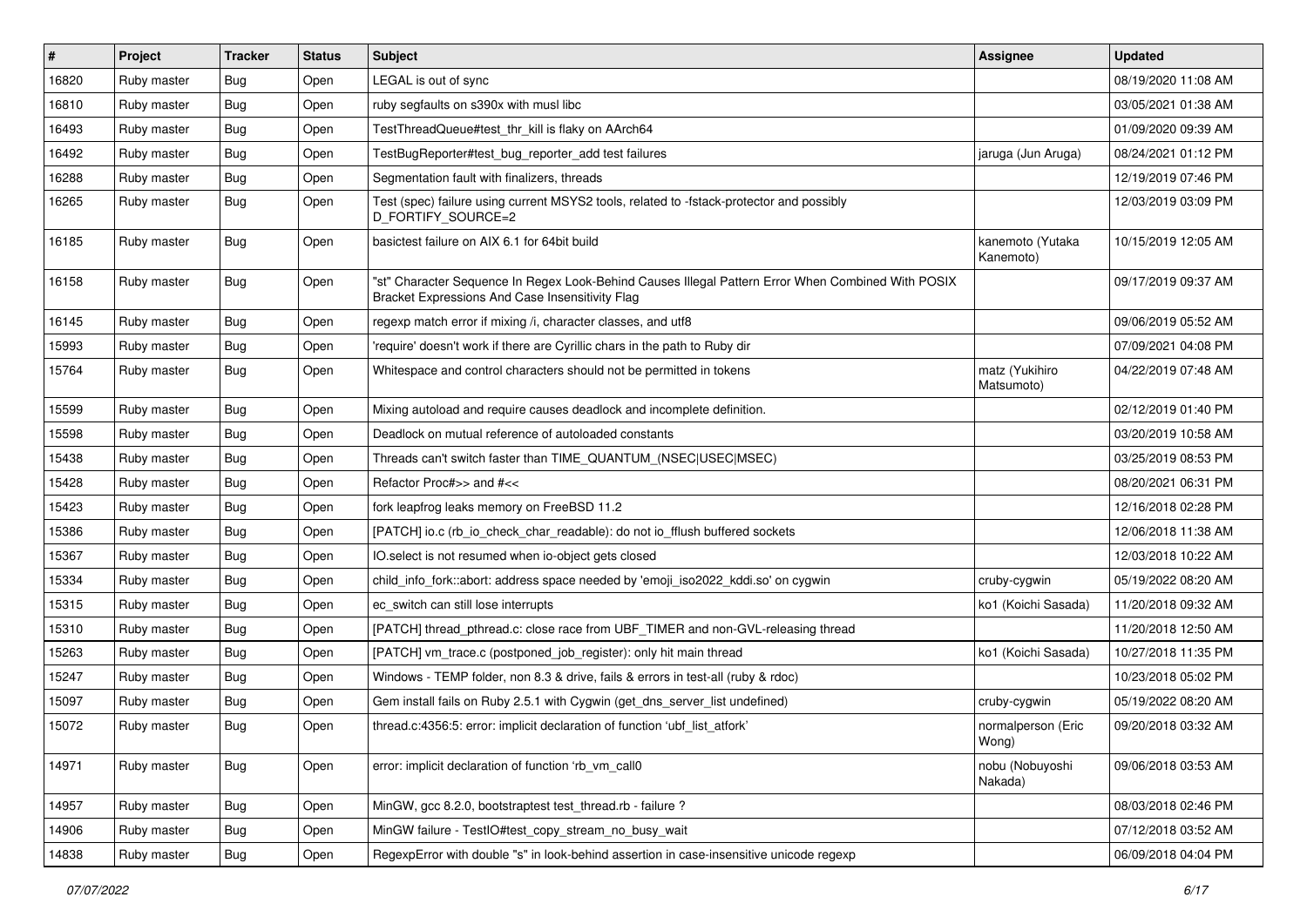| #     | Project     | <b>Tracker</b> | <b>Status</b> | <b>Subject</b>                                                                                                                                        | Assignee                      | <b>Updated</b>      |
|-------|-------------|----------------|---------------|-------------------------------------------------------------------------------------------------------------------------------------------------------|-------------------------------|---------------------|
| 16820 | Ruby master | Bug            | Open          | LEGAL is out of sync                                                                                                                                  |                               | 08/19/2020 11:08 AM |
| 16810 | Ruby master | Bug            | Open          | ruby segfaults on s390x with musl libc                                                                                                                |                               | 03/05/2021 01:38 AM |
| 16493 | Ruby master | Bug            | Open          | TestThreadQueue#test_thr_kill is flaky on AArch64                                                                                                     |                               | 01/09/2020 09:39 AM |
| 16492 | Ruby master | Bug            | Open          | TestBugReporter#test_bug_reporter_add test failures                                                                                                   | jaruga (Jun Aruga)            | 08/24/2021 01:12 PM |
| 16288 | Ruby master | <b>Bug</b>     | Open          | Segmentation fault with finalizers, threads                                                                                                           |                               | 12/19/2019 07:46 PM |
| 16265 | Ruby master | Bug            | Open          | Test (spec) failure using current MSYS2 tools, related to -fstack-protector and possibly<br>D_FORTIFY_SOURCE=2                                        |                               | 12/03/2019 03:09 PM |
| 16185 | Ruby master | Bug            | Open          | basictest failure on AIX 6.1 for 64bit build                                                                                                          | kanemoto (Yutaka<br>Kanemoto) | 10/15/2019 12:05 AM |
| 16158 | Ruby master | Bug            | Open          | "st" Character Sequence In Regex Look-Behind Causes Illegal Pattern Error When Combined With POSIX<br>Bracket Expressions And Case Insensitivity Flag |                               | 09/17/2019 09:37 AM |
| 16145 | Ruby master | <b>Bug</b>     | Open          | regexp match error if mixing /i, character classes, and utf8                                                                                          |                               | 09/06/2019 05:52 AM |
| 15993 | Ruby master | <b>Bug</b>     | Open          | 'require' doesn't work if there are Cyrillic chars in the path to Ruby dir                                                                            |                               | 07/09/2021 04:08 PM |
| 15764 | Ruby master | <b>Bug</b>     | Open          | Whitespace and control characters should not be permitted in tokens                                                                                   | matz (Yukihiro<br>Matsumoto)  | 04/22/2019 07:48 AM |
| 15599 | Ruby master | Bug            | Open          | Mixing autoload and require causes deadlock and incomplete definition.                                                                                |                               | 02/12/2019 01:40 PM |
| 15598 | Ruby master | Bug            | Open          | Deadlock on mutual reference of autoloaded constants                                                                                                  |                               | 03/20/2019 10:58 AM |
| 15438 | Ruby master | <b>Bug</b>     | Open          | Threads can't switch faster than TIME_QUANTUM_(NSEC USEC MSEC)                                                                                        |                               | 03/25/2019 08:53 PM |
| 15428 | Ruby master | <b>Bug</b>     | Open          | Refactor Proc#>> and #<<                                                                                                                              |                               | 08/20/2021 06:31 PM |
| 15423 | Ruby master | <b>Bug</b>     | Open          | fork leapfrog leaks memory on FreeBSD 11.2                                                                                                            |                               | 12/16/2018 02:28 PM |
| 15386 | Ruby master | Bug            | Open          | [PATCH] io.c (rb_io_check_char_readable): do not io_fflush buffered sockets                                                                           |                               | 12/06/2018 11:38 AM |
| 15367 | Ruby master | <b>Bug</b>     | Open          | IO.select is not resumed when io-object gets closed                                                                                                   |                               | 12/03/2018 10:22 AM |
| 15334 | Ruby master | <b>Bug</b>     | Open          | child_info_fork::abort: address space needed by 'emoji_iso2022_kddi.so' on cygwin                                                                     | cruby-cygwin                  | 05/19/2022 08:20 AM |
| 15315 | Ruby master | <b>Bug</b>     | Open          | ec_switch can still lose interrupts                                                                                                                   | ko1 (Koichi Sasada)           | 11/20/2018 09:32 AM |
| 15310 | Ruby master | <b>Bug</b>     | Open          | [PATCH] thread_pthread.c: close race from UBF_TIMER and non-GVL-releasing thread                                                                      |                               | 11/20/2018 12:50 AM |
| 15263 | Ruby master | <b>Bug</b>     | Open          | [PATCH] vm trace.c (postponed job register): only hit main thread                                                                                     | ko1 (Koichi Sasada)           | 10/27/2018 11:35 PM |
| 15247 | Ruby master | <b>Bug</b>     | Open          | Windows - TEMP folder, non 8.3 & drive, fails & errors in test-all (ruby & rdoc)                                                                      |                               | 10/23/2018 05:02 PM |
| 15097 | Ruby master | <b>Bug</b>     | Open          | Gem install fails on Ruby 2.5.1 with Cygwin (get_dns_server_list undefined)                                                                           | cruby-cygwin                  | 05/19/2022 08:20 AM |
| 15072 | Ruby master | Bug            | Open          | thread.c:4356:5: error: implicit declaration of function 'ubf list atfork'                                                                            | normalperson (Eric<br>Wong)   | 09/20/2018 03:32 AM |
| 14971 | Ruby master | <b>Bug</b>     | Open          | error: implicit declaration of function 'rb vm call0                                                                                                  | nobu (Nobuyoshi<br>Nakada)    | 09/06/2018 03:53 AM |
| 14957 | Ruby master | <b>Bug</b>     | Open          | MinGW, gcc 8.2.0, bootstraptest test_thread.rb - failure ?                                                                                            |                               | 08/03/2018 02:46 PM |
| 14906 | Ruby master | <b>Bug</b>     | Open          | MinGW failure - TestIO#test_copy_stream_no_busy_wait                                                                                                  |                               | 07/12/2018 03:52 AM |
| 14838 | Ruby master | Bug            | Open          | RegexpError with double "s" in look-behind assertion in case-insensitive unicode regexp                                                               |                               | 06/09/2018 04:04 PM |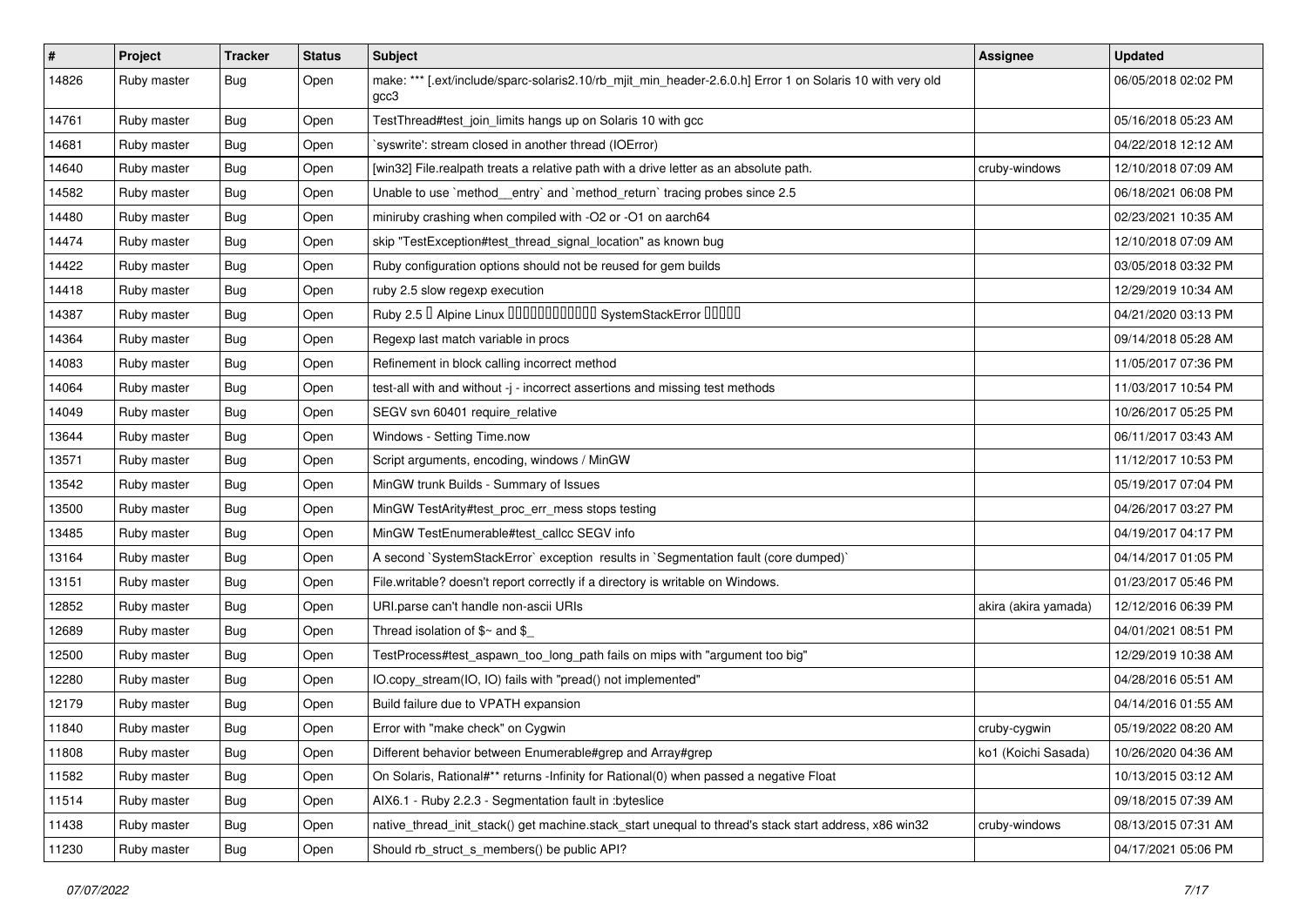| $\pmb{\#}$ | Project     | <b>Tracker</b> | <b>Status</b> | Subject                                                                                                           | <b>Assignee</b>      | <b>Updated</b>      |
|------------|-------------|----------------|---------------|-------------------------------------------------------------------------------------------------------------------|----------------------|---------------------|
| 14826      | Ruby master | Bug            | Open          | make: *** [.ext/include/sparc-solaris2.10/rb_mjit_min_header-2.6.0.h] Error 1 on Solaris 10 with very old<br>gcc3 |                      | 06/05/2018 02:02 PM |
| 14761      | Ruby master | Bug            | Open          | TestThread#test_join_limits hangs up on Solaris 10 with gcc                                                       |                      | 05/16/2018 05:23 AM |
| 14681      | Ruby master | Bug            | Open          | 'syswrite': stream closed in another thread (IOError)                                                             |                      | 04/22/2018 12:12 AM |
| 14640      | Ruby master | Bug            | Open          | [win32] File.realpath treats a relative path with a drive letter as an absolute path.                             | cruby-windows        | 12/10/2018 07:09 AM |
| 14582      | Ruby master | <b>Bug</b>     | Open          | Unable to use `method_entry` and `method_return` tracing probes since 2.5                                         |                      | 06/18/2021 06:08 PM |
| 14480      | Ruby master | Bug            | Open          | miniruby crashing when compiled with -O2 or -O1 on aarch64                                                        |                      | 02/23/2021 10:35 AM |
| 14474      | Ruby master | Bug            | Open          | skip "TestException#test_thread_signal_location" as known bug                                                     |                      | 12/10/2018 07:09 AM |
| 14422      | Ruby master | <b>Bug</b>     | Open          | Ruby configuration options should not be reused for gem builds                                                    |                      | 03/05/2018 03:32 PM |
| 14418      | Ruby master | <b>Bug</b>     | Open          | ruby 2.5 slow regexp execution                                                                                    |                      | 12/29/2019 10:34 AM |
| 14387      | Ruby master | <b>Bug</b>     | Open          | Ruby 2.5 <sup>D</sup> Alpine Linux 000000000000 SystemStackError 00000                                            |                      | 04/21/2020 03:13 PM |
| 14364      | Ruby master | Bug            | Open          | Regexp last match variable in procs                                                                               |                      | 09/14/2018 05:28 AM |
| 14083      | Ruby master | <b>Bug</b>     | Open          | Refinement in block calling incorrect method                                                                      |                      | 11/05/2017 07:36 PM |
| 14064      | Ruby master | <b>Bug</b>     | Open          | test-all with and without -j - incorrect assertions and missing test methods                                      |                      | 11/03/2017 10:54 PM |
| 14049      | Ruby master | <b>Bug</b>     | Open          | SEGV svn 60401 require_relative                                                                                   |                      | 10/26/2017 05:25 PM |
| 13644      | Ruby master | Bug            | Open          | Windows - Setting Time.now                                                                                        |                      | 06/11/2017 03:43 AM |
| 13571      | Ruby master | Bug            | Open          | Script arguments, encoding, windows / MinGW                                                                       |                      | 11/12/2017 10:53 PM |
| 13542      | Ruby master | Bug            | Open          | MinGW trunk Builds - Summary of Issues                                                                            |                      | 05/19/2017 07:04 PM |
| 13500      | Ruby master | <b>Bug</b>     | Open          | MinGW TestArity#test_proc_err_mess stops testing                                                                  |                      | 04/26/2017 03:27 PM |
| 13485      | Ruby master | Bug            | Open          | MinGW TestEnumerable#test_callcc SEGV info                                                                        |                      | 04/19/2017 04:17 PM |
| 13164      | Ruby master | <b>Bug</b>     | Open          | A second `SystemStackError` exception results in `Segmentation fault (core dumped)`                               |                      | 04/14/2017 01:05 PM |
| 13151      | Ruby master | <b>Bug</b>     | Open          | File.writable? doesn't report correctly if a directory is writable on Windows.                                    |                      | 01/23/2017 05:46 PM |
| 12852      | Ruby master | <b>Bug</b>     | Open          | URI.parse can't handle non-ascii URIs                                                                             | akira (akira yamada) | 12/12/2016 06:39 PM |
| 12689      | Ruby master | <b>Bug</b>     | Open          | Thread isolation of \$~ and \$                                                                                    |                      | 04/01/2021 08:51 PM |
| 12500      | Ruby master | Bug            | Open          | TestProcess#test_aspawn_too_long_path fails on mips with "argument too big"                                       |                      | 12/29/2019 10:38 AM |
| 12280      | Ruby master | Bug            | Open          | IO.copy_stream(IO, IO) fails with "pread() not implemented"                                                       |                      | 04/28/2016 05:51 AM |
| 12179      | Ruby master | <b>Bug</b>     | Open          | Build failure due to VPATH expansion                                                                              |                      | 04/14/2016 01:55 AM |
| 11840      | Ruby master | Bug            | Open          | Error with "make check" on Cygwin                                                                                 | cruby-cygwin         | 05/19/2022 08:20 AM |
| 11808      | Ruby master | Bug            | Open          | Different behavior between Enumerable#grep and Array#grep                                                         | ko1 (Koichi Sasada)  | 10/26/2020 04:36 AM |
| 11582      | Ruby master | <b>Bug</b>     | Open          | On Solaris, Rational#** returns -Infinity for Rational(0) when passed a negative Float                            |                      | 10/13/2015 03:12 AM |
| 11514      | Ruby master | <b>Bug</b>     | Open          | AIX6.1 - Ruby 2.2.3 - Segmentation fault in :byteslice                                                            |                      | 09/18/2015 07:39 AM |
| 11438      | Ruby master | <b>Bug</b>     | Open          | native_thread_init_stack() get machine.stack_start unequal to thread's stack start address, x86 win32             | cruby-windows        | 08/13/2015 07:31 AM |
| 11230      | Ruby master | Bug            | Open          | Should rb_struct_s_members() be public API?                                                                       |                      | 04/17/2021 05:06 PM |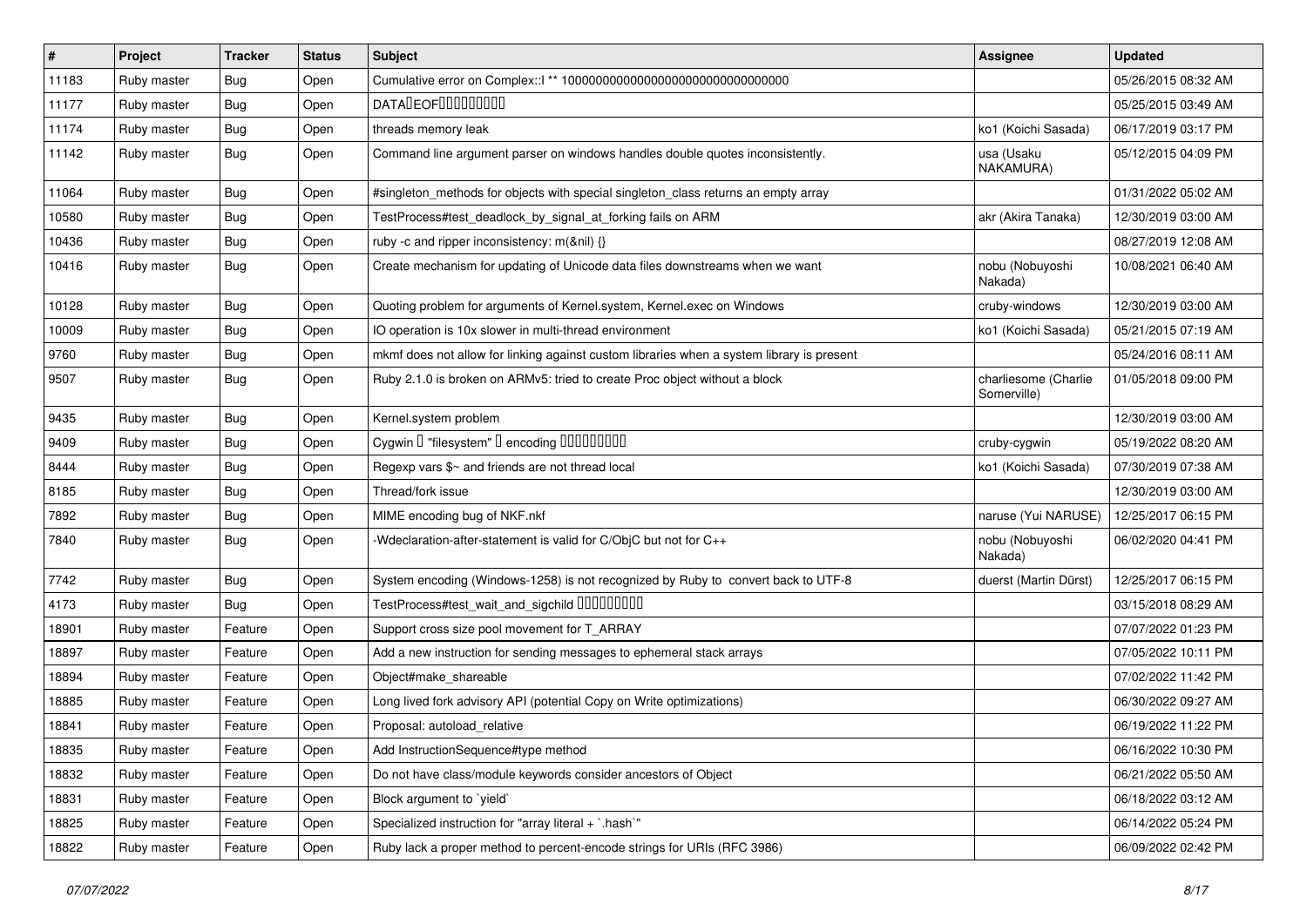| #     | Project     | <b>Tracker</b> | <b>Status</b> | Subject                                                                                   | Assignee                            | <b>Updated</b>      |
|-------|-------------|----------------|---------------|-------------------------------------------------------------------------------------------|-------------------------------------|---------------------|
| 11183 | Ruby master | <b>Bug</b>     | Open          |                                                                                           |                                     | 05/26/2015 08:32 AM |
| 11177 | Ruby master | <b>Bug</b>     | Open          | <b>DATADEOFOOOOOOOO</b>                                                                   |                                     | 05/25/2015 03:49 AM |
| 11174 | Ruby master | <b>Bug</b>     | Open          | threads memory leak                                                                       | ko1 (Koichi Sasada)                 | 06/17/2019 03:17 PM |
| 11142 | Ruby master | Bug            | Open          | Command line argument parser on windows handles double quotes inconsistently.             | usa (Usaku<br>NAKAMURA)             | 05/12/2015 04:09 PM |
| 11064 | Ruby master | Bug            | Open          | #singleton_methods for objects with special singleton_class returns an empty array        |                                     | 01/31/2022 05:02 AM |
| 10580 | Ruby master | Bug            | Open          | TestProcess#test_deadlock_by_signal_at_forking fails on ARM                               | akr (Akira Tanaka)                  | 12/30/2019 03:00 AM |
| 10436 | Ruby master | <b>Bug</b>     | Open          | ruby -c and ripper inconsistency: m(&nil) {}                                              |                                     | 08/27/2019 12:08 AM |
| 10416 | Ruby master | Bug            | Open          | Create mechanism for updating of Unicode data files downstreams when we want              | nobu (Nobuyoshi<br>Nakada)          | 10/08/2021 06:40 AM |
| 10128 | Ruby master | Bug            | Open          | Quoting problem for arguments of Kernel.system, Kernel.exec on Windows                    | cruby-windows                       | 12/30/2019 03:00 AM |
| 10009 | Ruby master | <b>Bug</b>     | Open          | IO operation is 10x slower in multi-thread environment                                    | ko1 (Koichi Sasada)                 | 05/21/2015 07:19 AM |
| 9760  | Ruby master | Bug            | Open          | mkmf does not allow for linking against custom libraries when a system library is present |                                     | 05/24/2016 08:11 AM |
| 9507  | Ruby master | <b>Bug</b>     | Open          | Ruby 2.1.0 is broken on ARMv5: tried to create Proc object without a block                | charliesome (Charlie<br>Somerville) | 01/05/2018 09:00 PM |
| 9435  | Ruby master | <b>Bug</b>     | Open          | Kernel.system problem                                                                     |                                     | 12/30/2019 03:00 AM |
| 9409  | Ruby master | <b>Bug</b>     | Open          | Cygwin I "filesystem" I encoding IIIIIIIIIIIII                                            | cruby-cygwin                        | 05/19/2022 08:20 AM |
| 8444  | Ruby master | <b>Bug</b>     | Open          | Regexp vars \$~ and friends are not thread local                                          | ko1 (Koichi Sasada)                 | 07/30/2019 07:38 AM |
| 8185  | Ruby master | <b>Bug</b>     | Open          | Thread/fork issue                                                                         |                                     | 12/30/2019 03:00 AM |
| 7892  | Ruby master | <b>Bug</b>     | Open          | MIME encoding bug of NKF.nkf                                                              | naruse (Yui NARUSE)                 | 12/25/2017 06:15 PM |
| 7840  | Ruby master | Bug            | Open          | -Wdeclaration-after-statement is valid for C/ObjC but not for C++                         | nobu (Nobuyoshi<br>Nakada)          | 06/02/2020 04:41 PM |
| 7742  | Ruby master | Bug            | Open          | System encoding (Windows-1258) is not recognized by Ruby to convert back to UTF-8         | duerst (Martin Dürst)               | 12/25/2017 06:15 PM |
| 4173  | Ruby master | Bug            | Open          | TestProcess#test_wait_and_sigchild DDDDDDDD                                               |                                     | 03/15/2018 08:29 AM |
| 18901 | Ruby master | Feature        | Open          | Support cross size pool movement for T_ARRAY                                              |                                     | 07/07/2022 01:23 PM |
| 18897 | Ruby master | Feature        | Open          | Add a new instruction for sending messages to ephemeral stack arrays                      |                                     | 07/05/2022 10:11 PM |
| 18894 | Ruby master | Feature        | Open          | Object#make_shareable                                                                     |                                     | 07/02/2022 11:42 PM |
| 18885 | Ruby master | Feature        | Open          | Long lived fork advisory API (potential Copy on Write optimizations)                      |                                     | 06/30/2022 09:27 AM |
| 18841 | Ruby master | Feature        | Open          | Proposal: autoload_relative                                                               |                                     | 06/19/2022 11:22 PM |
| 18835 | Ruby master | Feature        | Open          | Add InstructionSequence#type method                                                       |                                     | 06/16/2022 10:30 PM |
| 18832 | Ruby master | Feature        | Open          | Do not have class/module keywords consider ancestors of Object                            |                                     | 06/21/2022 05:50 AM |
| 18831 | Ruby master | Feature        | Open          | Block argument to 'yield'                                                                 |                                     | 06/18/2022 03:12 AM |
| 18825 | Ruby master | Feature        | Open          | Specialized instruction for "array literal + `.hash`"                                     |                                     | 06/14/2022 05:24 PM |
| 18822 | Ruby master | Feature        | Open          | Ruby lack a proper method to percent-encode strings for URIs (RFC 3986)                   |                                     | 06/09/2022 02:42 PM |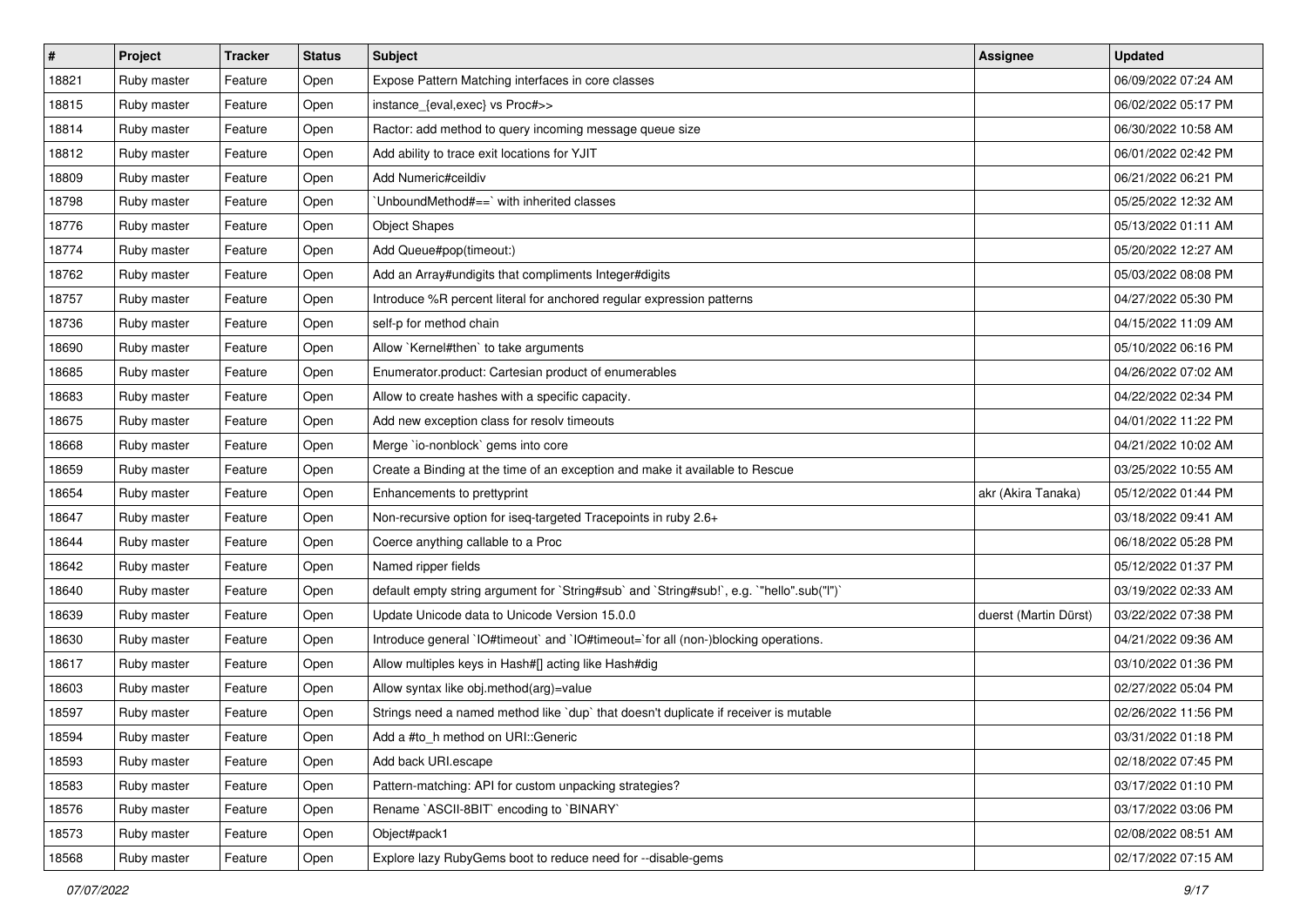| $\vert$ # | Project     | <b>Tracker</b> | <b>Status</b> | Subject                                                                                   | <b>Assignee</b>       | <b>Updated</b>      |
|-----------|-------------|----------------|---------------|-------------------------------------------------------------------------------------------|-----------------------|---------------------|
| 18821     | Ruby master | Feature        | Open          | Expose Pattern Matching interfaces in core classes                                        |                       | 06/09/2022 07:24 AM |
| 18815     | Ruby master | Feature        | Open          | instance_{eval,exec} vs Proc#>>                                                           |                       | 06/02/2022 05:17 PM |
| 18814     | Ruby master | Feature        | Open          | Ractor: add method to query incoming message queue size                                   |                       | 06/30/2022 10:58 AM |
| 18812     | Ruby master | Feature        | Open          | Add ability to trace exit locations for YJIT                                              |                       | 06/01/2022 02:42 PM |
| 18809     | Ruby master | Feature        | Open          | Add Numeric#ceildiv                                                                       |                       | 06/21/2022 06:21 PM |
| 18798     | Ruby master | Feature        | Open          | UnboundMethod#==`with inherited classes                                                   |                       | 05/25/2022 12:32 AM |
| 18776     | Ruby master | Feature        | Open          | <b>Object Shapes</b>                                                                      |                       | 05/13/2022 01:11 AM |
| 18774     | Ruby master | Feature        | Open          | Add Queue#pop(timeout:)                                                                   |                       | 05/20/2022 12:27 AM |
| 18762     | Ruby master | Feature        | Open          | Add an Array#undigits that compliments Integer#digits                                     |                       | 05/03/2022 08:08 PM |
| 18757     | Ruby master | Feature        | Open          | Introduce %R percent literal for anchored regular expression patterns                     |                       | 04/27/2022 05:30 PM |
| 18736     | Ruby master | Feature        | Open          | self-p for method chain                                                                   |                       | 04/15/2022 11:09 AM |
| 18690     | Ruby master | Feature        | Open          | Allow `Kernel#then` to take arguments                                                     |                       | 05/10/2022 06:16 PM |
| 18685     | Ruby master | Feature        | Open          | Enumerator.product: Cartesian product of enumerables                                      |                       | 04/26/2022 07:02 AM |
| 18683     | Ruby master | Feature        | Open          | Allow to create hashes with a specific capacity.                                          |                       | 04/22/2022 02:34 PM |
| 18675     | Ruby master | Feature        | Open          | Add new exception class for resolv timeouts                                               |                       | 04/01/2022 11:22 PM |
| 18668     | Ruby master | Feature        | Open          | Merge `io-nonblock` gems into core                                                        |                       | 04/21/2022 10:02 AM |
| 18659     | Ruby master | Feature        | Open          | Create a Binding at the time of an exception and make it available to Rescue              |                       | 03/25/2022 10:55 AM |
| 18654     | Ruby master | Feature        | Open          | Enhancements to prettyprint                                                               | akr (Akira Tanaka)    | 05/12/2022 01:44 PM |
| 18647     | Ruby master | Feature        | Open          | Non-recursive option for iseq-targeted Tracepoints in ruby 2.6+                           |                       | 03/18/2022 09:41 AM |
| 18644     | Ruby master | Feature        | Open          | Coerce anything callable to a Proc                                                        |                       | 06/18/2022 05:28 PM |
| 18642     | Ruby master | Feature        | Open          | Named ripper fields                                                                       |                       | 05/12/2022 01:37 PM |
| 18640     | Ruby master | Feature        | Open          | default empty string argument for `String#sub` and `String#sub!`, e.g. `"hello".sub("I")` |                       | 03/19/2022 02:33 AM |
| 18639     | Ruby master | Feature        | Open          | Update Unicode data to Unicode Version 15.0.0                                             | duerst (Martin Dürst) | 03/22/2022 07:38 PM |
| 18630     | Ruby master | Feature        | Open          | Introduce general `IO#timeout` and `IO#timeout=`for all (non-)blocking operations.        |                       | 04/21/2022 09:36 AM |
| 18617     | Ruby master | Feature        | Open          | Allow multiples keys in Hash#[] acting like Hash#dig                                      |                       | 03/10/2022 01:36 PM |
| 18603     | Ruby master | Feature        | Open          | Allow syntax like obj.method(arg)=value                                                   |                       | 02/27/2022 05:04 PM |
| 18597     | Ruby master | Feature        | Open          | Strings need a named method like `dup` that doesn't duplicate if receiver is mutable      |                       | 02/26/2022 11:56 PM |
| 18594     | Ruby master | Feature        | Open          | Add a #to_h method on URI::Generic                                                        |                       | 03/31/2022 01:18 PM |
| 18593     | Ruby master | Feature        | Open          | Add back URI.escape                                                                       |                       | 02/18/2022 07:45 PM |
| 18583     | Ruby master | Feature        | Open          | Pattern-matching: API for custom unpacking strategies?                                    |                       | 03/17/2022 01:10 PM |
| 18576     | Ruby master | Feature        | Open          | Rename `ASCII-8BIT` encoding to `BINARY`                                                  |                       | 03/17/2022 03:06 PM |
| 18573     | Ruby master | Feature        | Open          | Object#pack1                                                                              |                       | 02/08/2022 08:51 AM |
| 18568     | Ruby master | Feature        | Open          | Explore lazy RubyGems boot to reduce need for --disable-gems                              |                       | 02/17/2022 07:15 AM |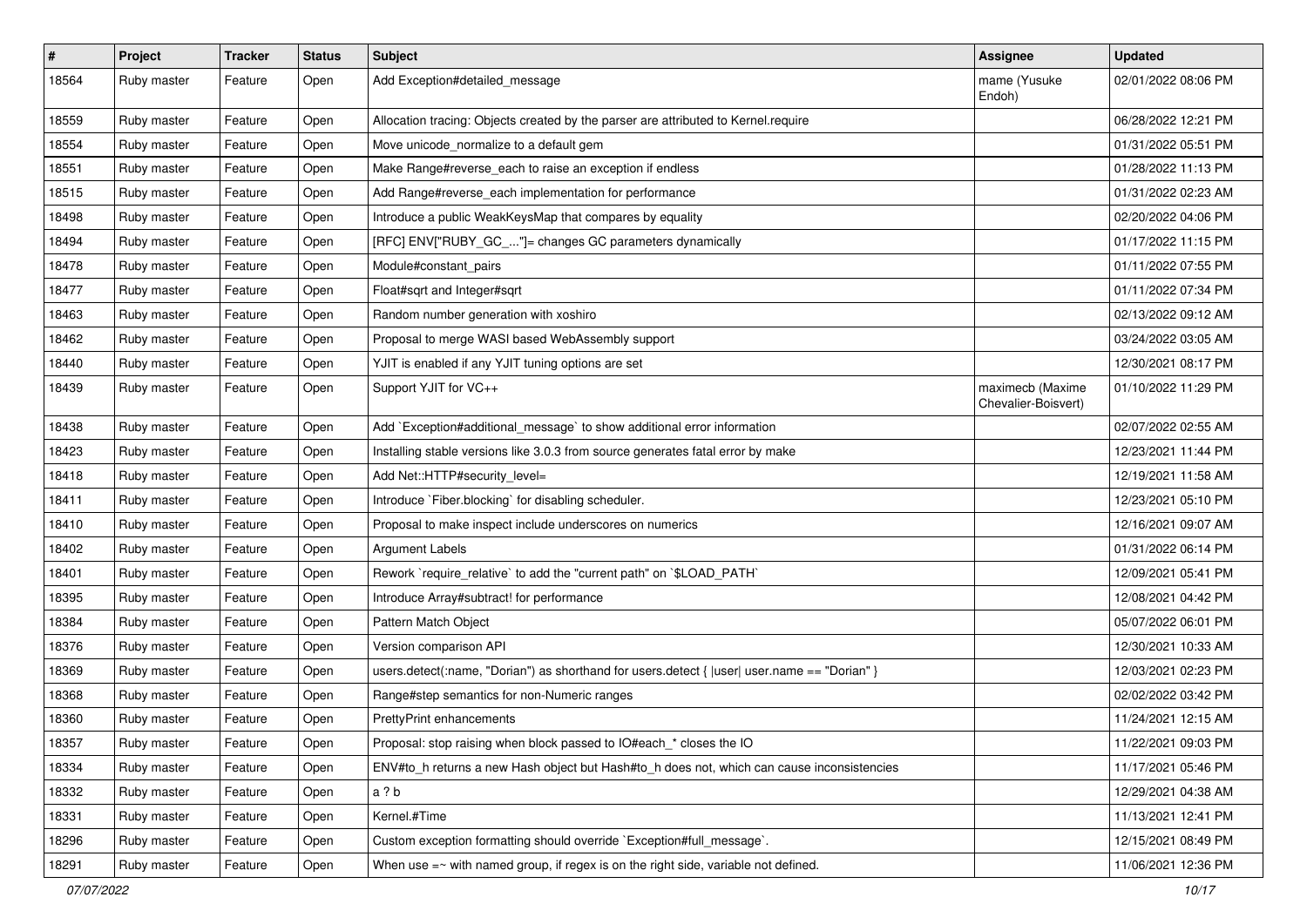| #     | Project     | <b>Tracker</b> | <b>Status</b> | Subject                                                                                      | <b>Assignee</b>                         | <b>Updated</b>      |
|-------|-------------|----------------|---------------|----------------------------------------------------------------------------------------------|-----------------------------------------|---------------------|
| 18564 | Ruby master | Feature        | Open          | Add Exception#detailed_message                                                               | mame (Yusuke<br>Endoh)                  | 02/01/2022 08:06 PM |
| 18559 | Ruby master | Feature        | Open          | Allocation tracing: Objects created by the parser are attributed to Kernel.require           |                                         | 06/28/2022 12:21 PM |
| 18554 | Ruby master | Feature        | Open          | Move unicode_normalize to a default gem                                                      |                                         | 01/31/2022 05:51 PM |
| 18551 | Ruby master | Feature        | Open          | Make Range#reverse_each to raise an exception if endless                                     |                                         | 01/28/2022 11:13 PM |
| 18515 | Ruby master | Feature        | Open          | Add Range#reverse_each implementation for performance                                        |                                         | 01/31/2022 02:23 AM |
| 18498 | Ruby master | Feature        | Open          | Introduce a public WeakKeysMap that compares by equality                                     |                                         | 02/20/2022 04:06 PM |
| 18494 | Ruby master | Feature        | Open          | [RFC] ENV["RUBY_GC_"]= changes GC parameters dynamically                                     |                                         | 01/17/2022 11:15 PM |
| 18478 | Ruby master | Feature        | Open          | Module#constant_pairs                                                                        |                                         | 01/11/2022 07:55 PM |
| 18477 | Ruby master | Feature        | Open          | Float#sqrt and Integer#sqrt                                                                  |                                         | 01/11/2022 07:34 PM |
| 18463 | Ruby master | Feature        | Open          | Random number generation with xoshiro                                                        |                                         | 02/13/2022 09:12 AM |
| 18462 | Ruby master | Feature        | Open          | Proposal to merge WASI based WebAssembly support                                             |                                         | 03/24/2022 03:05 AM |
| 18440 | Ruby master | Feature        | Open          | YJIT is enabled if any YJIT tuning options are set                                           |                                         | 12/30/2021 08:17 PM |
| 18439 | Ruby master | Feature        | Open          | Support YJIT for VC++                                                                        | maximecb (Maxime<br>Chevalier-Boisvert) | 01/10/2022 11:29 PM |
| 18438 | Ruby master | Feature        | Open          | Add `Exception#additional message` to show additional error information                      |                                         | 02/07/2022 02:55 AM |
| 18423 | Ruby master | Feature        | Open          | Installing stable versions like 3.0.3 from source generates fatal error by make              |                                         | 12/23/2021 11:44 PM |
| 18418 | Ruby master | Feature        | Open          | Add Net::HTTP#security_level=                                                                |                                         | 12/19/2021 11:58 AM |
| 18411 | Ruby master | Feature        | Open          | Introduce `Fiber.blocking` for disabling scheduler.                                          |                                         | 12/23/2021 05:10 PM |
| 18410 | Ruby master | Feature        | Open          | Proposal to make inspect include underscores on numerics                                     |                                         | 12/16/2021 09:07 AM |
| 18402 | Ruby master | Feature        | Open          | <b>Argument Labels</b>                                                                       |                                         | 01/31/2022 06:14 PM |
| 18401 | Ruby master | Feature        | Open          | Rework `require_relative` to add the "current path" on `\$LOAD_PATH`                         |                                         | 12/09/2021 05:41 PM |
| 18395 | Ruby master | Feature        | Open          | Introduce Array#subtract! for performance                                                    |                                         | 12/08/2021 04:42 PM |
| 18384 | Ruby master | Feature        | Open          | Pattern Match Object                                                                         |                                         | 05/07/2022 06:01 PM |
| 18376 | Ruby master | Feature        | Open          | Version comparison API                                                                       |                                         | 12/30/2021 10:33 AM |
| 18369 | Ruby master | Feature        | Open          | users.detect(:name, "Dorian") as shorthand for users.detect {  user  user.name == "Dorian" } |                                         | 12/03/2021 02:23 PM |
| 18368 | Ruby master | Feature        | Open          | Range#step semantics for non-Numeric ranges                                                  |                                         | 02/02/2022 03:42 PM |
| 18360 | Ruby master | Feature        | Open          | <b>PrettyPrint enhancements</b>                                                              |                                         | 11/24/2021 12:15 AM |
| 18357 | Ruby master | Feature        | Open          | Proposal: stop raising when block passed to IO#each_* closes the IO                          |                                         | 11/22/2021 09:03 PM |
| 18334 | Ruby master | Feature        | Open          | ENV#to_h returns a new Hash object but Hash#to_h does not, which can cause inconsistencies   |                                         | 11/17/2021 05:46 PM |
| 18332 | Ruby master | Feature        | Open          | a ? b                                                                                        |                                         | 12/29/2021 04:38 AM |
| 18331 | Ruby master | Feature        | Open          | Kernel.#Time                                                                                 |                                         | 11/13/2021 12:41 PM |
| 18296 | Ruby master | Feature        | Open          | Custom exception formatting should override `Exception#full_message`.                        |                                         | 12/15/2021 08:49 PM |
| 18291 | Ruby master | Feature        | Open          | When use $=\sim$ with named group, if regex is on the right side, variable not defined.      |                                         | 11/06/2021 12:36 PM |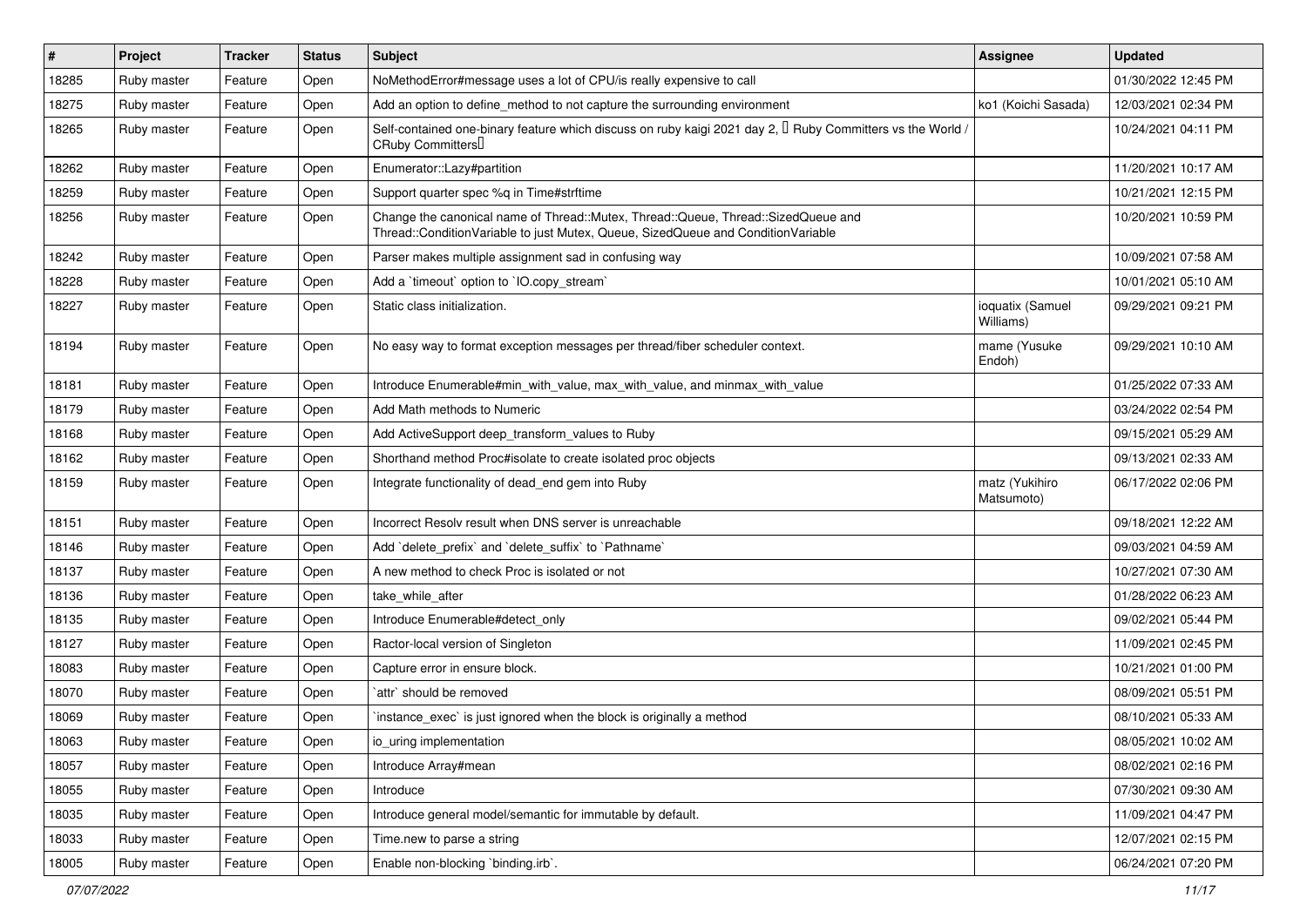| $\vert$ # | Project     | <b>Tracker</b> | <b>Status</b> | <b>Subject</b>                                                                                                                                                        | <b>Assignee</b>               | <b>Updated</b>      |
|-----------|-------------|----------------|---------------|-----------------------------------------------------------------------------------------------------------------------------------------------------------------------|-------------------------------|---------------------|
| 18285     | Ruby master | Feature        | Open          | NoMethodError#message uses a lot of CPU/is really expensive to call                                                                                                   |                               | 01/30/2022 12:45 PM |
| 18275     | Ruby master | Feature        | Open          | Add an option to define_method to not capture the surrounding environment                                                                                             | ko1 (Koichi Sasada)           | 12/03/2021 02:34 PM |
| 18265     | Ruby master | Feature        | Open          | Self-contained one-binary feature which discuss on ruby kaigi 2021 day 2, $\Box$ Ruby Committers vs the World /<br>CRuby Committers                                   |                               | 10/24/2021 04:11 PM |
| 18262     | Ruby master | Feature        | Open          | Enumerator::Lazy#partition                                                                                                                                            |                               | 11/20/2021 10:17 AM |
| 18259     | Ruby master | Feature        | Open          | Support quarter spec %q in Time#strftime                                                                                                                              |                               | 10/21/2021 12:15 PM |
| 18256     | Ruby master | Feature        | Open          | Change the canonical name of Thread::Mutex, Thread::Queue, Thread::SizedQueue and<br>Thread::ConditionVariable to just Mutex, Queue, SizedQueue and ConditionVariable |                               | 10/20/2021 10:59 PM |
| 18242     | Ruby master | Feature        | Open          | Parser makes multiple assignment sad in confusing way                                                                                                                 |                               | 10/09/2021 07:58 AM |
| 18228     | Ruby master | Feature        | Open          | Add a 'timeout' option to 'IO.copy_stream'                                                                                                                            |                               | 10/01/2021 05:10 AM |
| 18227     | Ruby master | Feature        | Open          | Static class initialization.                                                                                                                                          | ioquatix (Samuel<br>Williams) | 09/29/2021 09:21 PM |
| 18194     | Ruby master | Feature        | Open          | No easy way to format exception messages per thread/fiber scheduler context.                                                                                          | mame (Yusuke<br>Endoh)        | 09/29/2021 10:10 AM |
| 18181     | Ruby master | Feature        | Open          | Introduce Enumerable#min_with_value, max_with_value, and minmax_with_value                                                                                            |                               | 01/25/2022 07:33 AM |
| 18179     | Ruby master | Feature        | Open          | Add Math methods to Numeric                                                                                                                                           |                               | 03/24/2022 02:54 PM |
| 18168     | Ruby master | Feature        | Open          | Add ActiveSupport deep_transform_values to Ruby                                                                                                                       |                               | 09/15/2021 05:29 AM |
| 18162     | Ruby master | Feature        | Open          | Shorthand method Proc#isolate to create isolated proc objects                                                                                                         |                               | 09/13/2021 02:33 AM |
| 18159     | Ruby master | Feature        | Open          | Integrate functionality of dead_end gem into Ruby                                                                                                                     | matz (Yukihiro<br>Matsumoto)  | 06/17/2022 02:06 PM |
| 18151     | Ruby master | Feature        | Open          | Incorrect Resolv result when DNS server is unreachable                                                                                                                |                               | 09/18/2021 12:22 AM |
| 18146     | Ruby master | Feature        | Open          | Add `delete_prefix` and `delete_suffix` to `Pathname`                                                                                                                 |                               | 09/03/2021 04:59 AM |
| 18137     | Ruby master | Feature        | Open          | A new method to check Proc is isolated or not                                                                                                                         |                               | 10/27/2021 07:30 AM |
| 18136     | Ruby master | Feature        | Open          | take_while_after                                                                                                                                                      |                               | 01/28/2022 06:23 AM |
| 18135     | Ruby master | Feature        | Open          | Introduce Enumerable#detect_only                                                                                                                                      |                               | 09/02/2021 05:44 PM |
| 18127     | Ruby master | Feature        | Open          | Ractor-local version of Singleton                                                                                                                                     |                               | 11/09/2021 02:45 PM |
| 18083     | Ruby master | Feature        | Open          | Capture error in ensure block.                                                                                                                                        |                               | 10/21/2021 01:00 PM |
| 18070     | Ruby master | Feature        | Open          | `attr` should be removed                                                                                                                                              |                               | 08/09/2021 05:51 PM |
| 18069     | Ruby master | Feature        | Open          | instance_exec` is just ignored when the block is originally a method                                                                                                  |                               | 08/10/2021 05:33 AM |
| 18063     | Ruby master | Feature        | Open          | io_uring implementation                                                                                                                                               |                               | 08/05/2021 10:02 AM |
| 18057     | Ruby master | Feature        | Open          | Introduce Array#mean                                                                                                                                                  |                               | 08/02/2021 02:16 PM |
| 18055     | Ruby master | Feature        | Open          | Introduce                                                                                                                                                             |                               | 07/30/2021 09:30 AM |
| 18035     | Ruby master | Feature        | Open          | Introduce general model/semantic for immutable by default.                                                                                                            |                               | 11/09/2021 04:47 PM |
| 18033     | Ruby master | Feature        | Open          | Time.new to parse a string                                                                                                                                            |                               | 12/07/2021 02:15 PM |
| 18005     | Ruby master | Feature        | Open          | Enable non-blocking 'binding.irb'.                                                                                                                                    |                               | 06/24/2021 07:20 PM |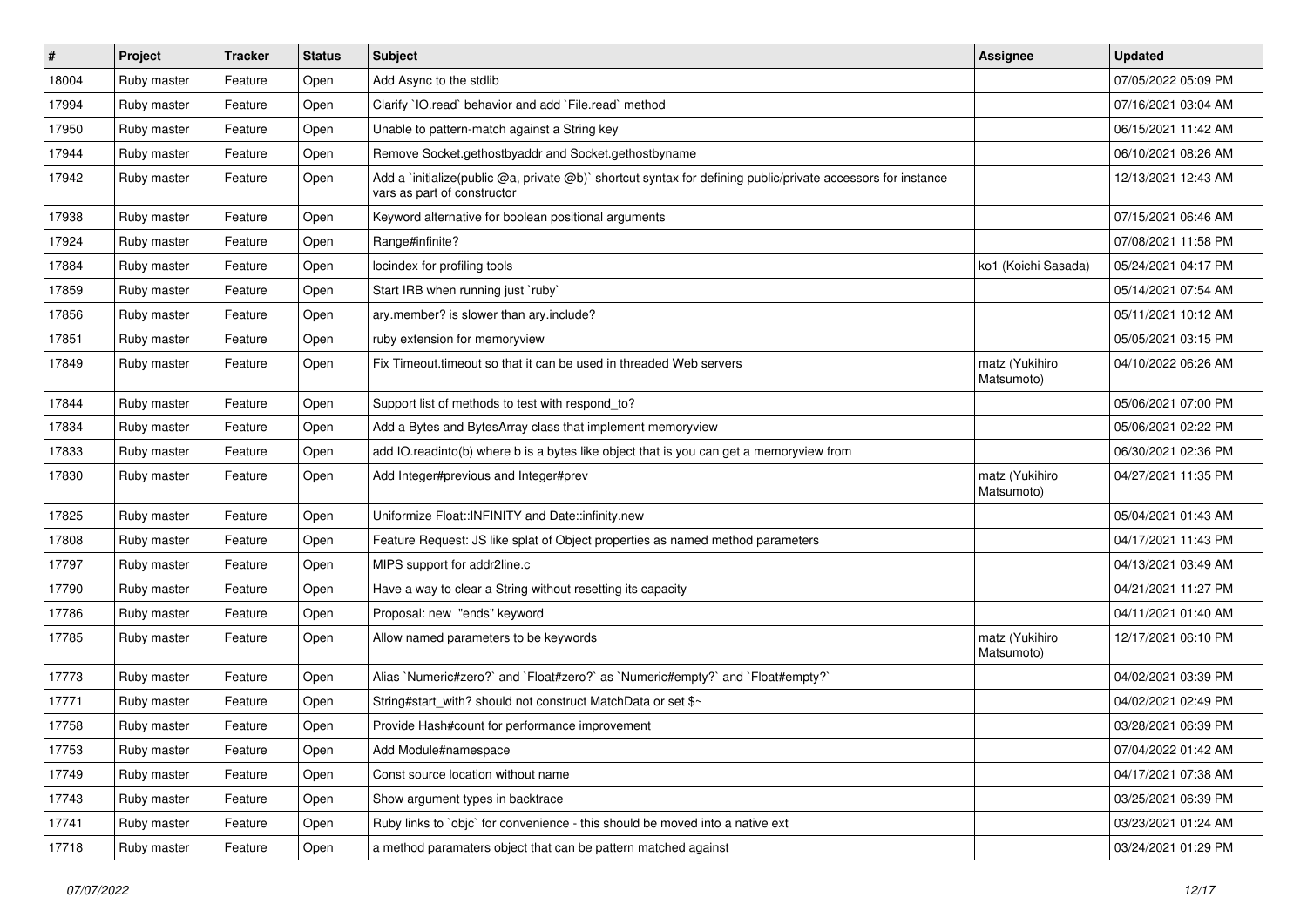| #     | Project     | <b>Tracker</b> | <b>Status</b> | Subject                                                                                                                                     | <b>Assignee</b>              | <b>Updated</b>      |
|-------|-------------|----------------|---------------|---------------------------------------------------------------------------------------------------------------------------------------------|------------------------------|---------------------|
| 18004 | Ruby master | Feature        | Open          | Add Async to the stdlib                                                                                                                     |                              | 07/05/2022 05:09 PM |
| 17994 | Ruby master | Feature        | Open          | Clarify `IO.read` behavior and add `File.read` method                                                                                       |                              | 07/16/2021 03:04 AM |
| 17950 | Ruby master | Feature        | Open          | Unable to pattern-match against a String key                                                                                                |                              | 06/15/2021 11:42 AM |
| 17944 | Ruby master | Feature        | Open          | Remove Socket.gethostbyaddr and Socket.gethostbyname                                                                                        |                              | 06/10/2021 08:26 AM |
| 17942 | Ruby master | Feature        | Open          | Add a `initialize(public @a, private @b)` shortcut syntax for defining public/private accessors for instance<br>vars as part of constructor |                              | 12/13/2021 12:43 AM |
| 17938 | Ruby master | Feature        | Open          | Keyword alternative for boolean positional arguments                                                                                        |                              | 07/15/2021 06:46 AM |
| 17924 | Ruby master | Feature        | Open          | Range#infinite?                                                                                                                             |                              | 07/08/2021 11:58 PM |
| 17884 | Ruby master | Feature        | Open          | locindex for profiling tools                                                                                                                | ko1 (Koichi Sasada)          | 05/24/2021 04:17 PM |
| 17859 | Ruby master | Feature        | Open          | Start IRB when running just `ruby`                                                                                                          |                              | 05/14/2021 07:54 AM |
| 17856 | Ruby master | Feature        | Open          | ary.member? is slower than ary.include?                                                                                                     |                              | 05/11/2021 10:12 AM |
| 17851 | Ruby master | Feature        | Open          | ruby extension for memoryview                                                                                                               |                              | 05/05/2021 03:15 PM |
| 17849 | Ruby master | Feature        | Open          | Fix Timeout timeout so that it can be used in threaded Web servers                                                                          | matz (Yukihiro<br>Matsumoto) | 04/10/2022 06:26 AM |
| 17844 | Ruby master | Feature        | Open          | Support list of methods to test with respond_to?                                                                                            |                              | 05/06/2021 07:00 PM |
| 17834 | Ruby master | Feature        | Open          | Add a Bytes and BytesArray class that implement memoryview                                                                                  |                              | 05/06/2021 02:22 PM |
| 17833 | Ruby master | Feature        | Open          | add IO.readinto(b) where b is a bytes like object that is you can get a memoryview from                                                     |                              | 06/30/2021 02:36 PM |
| 17830 | Ruby master | Feature        | Open          | Add Integer#previous and Integer#prev                                                                                                       | matz (Yukihiro<br>Matsumoto) | 04/27/2021 11:35 PM |
| 17825 | Ruby master | Feature        | Open          | Uniformize Float::INFINITY and Date::infinity.new                                                                                           |                              | 05/04/2021 01:43 AM |
| 17808 | Ruby master | Feature        | Open          | Feature Request: JS like splat of Object properties as named method parameters                                                              |                              | 04/17/2021 11:43 PM |
| 17797 | Ruby master | Feature        | Open          | MIPS support for addr2line.c                                                                                                                |                              | 04/13/2021 03:49 AM |
| 17790 | Ruby master | Feature        | Open          | Have a way to clear a String without resetting its capacity                                                                                 |                              | 04/21/2021 11:27 PM |
| 17786 | Ruby master | Feature        | Open          | Proposal: new "ends" keyword                                                                                                                |                              | 04/11/2021 01:40 AM |
| 17785 | Ruby master | Feature        | Open          | Allow named parameters to be keywords                                                                                                       | matz (Yukihiro<br>Matsumoto) | 12/17/2021 06:10 PM |
| 17773 | Ruby master | Feature        | Open          | Alias `Numeric#zero?` and `Float#zero?` as `Numeric#empty?` and `Float#empty?`                                                              |                              | 04/02/2021 03:39 PM |
| 17771 | Ruby master | Feature        | Open          | String#start_with? should not construct MatchData or set \$~                                                                                |                              | 04/02/2021 02:49 PM |
| 17758 | Ruby master | Feature        | Open          | Provide Hash#count for performance improvement                                                                                              |                              | 03/28/2021 06:39 PM |
| 17753 | Ruby master | Feature        | Open          | Add Module#namespace                                                                                                                        |                              | 07/04/2022 01:42 AM |
| 17749 | Ruby master | Feature        | Open          | Const source location without name                                                                                                          |                              | 04/17/2021 07:38 AM |
| 17743 | Ruby master | Feature        | Open          | Show argument types in backtrace                                                                                                            |                              | 03/25/2021 06:39 PM |
| 17741 | Ruby master | Feature        | Open          | Ruby links to `objc` for convenience - this should be moved into a native ext                                                               |                              | 03/23/2021 01:24 AM |
| 17718 | Ruby master | Feature        | Open          | a method paramaters object that can be pattern matched against                                                                              |                              | 03/24/2021 01:29 PM |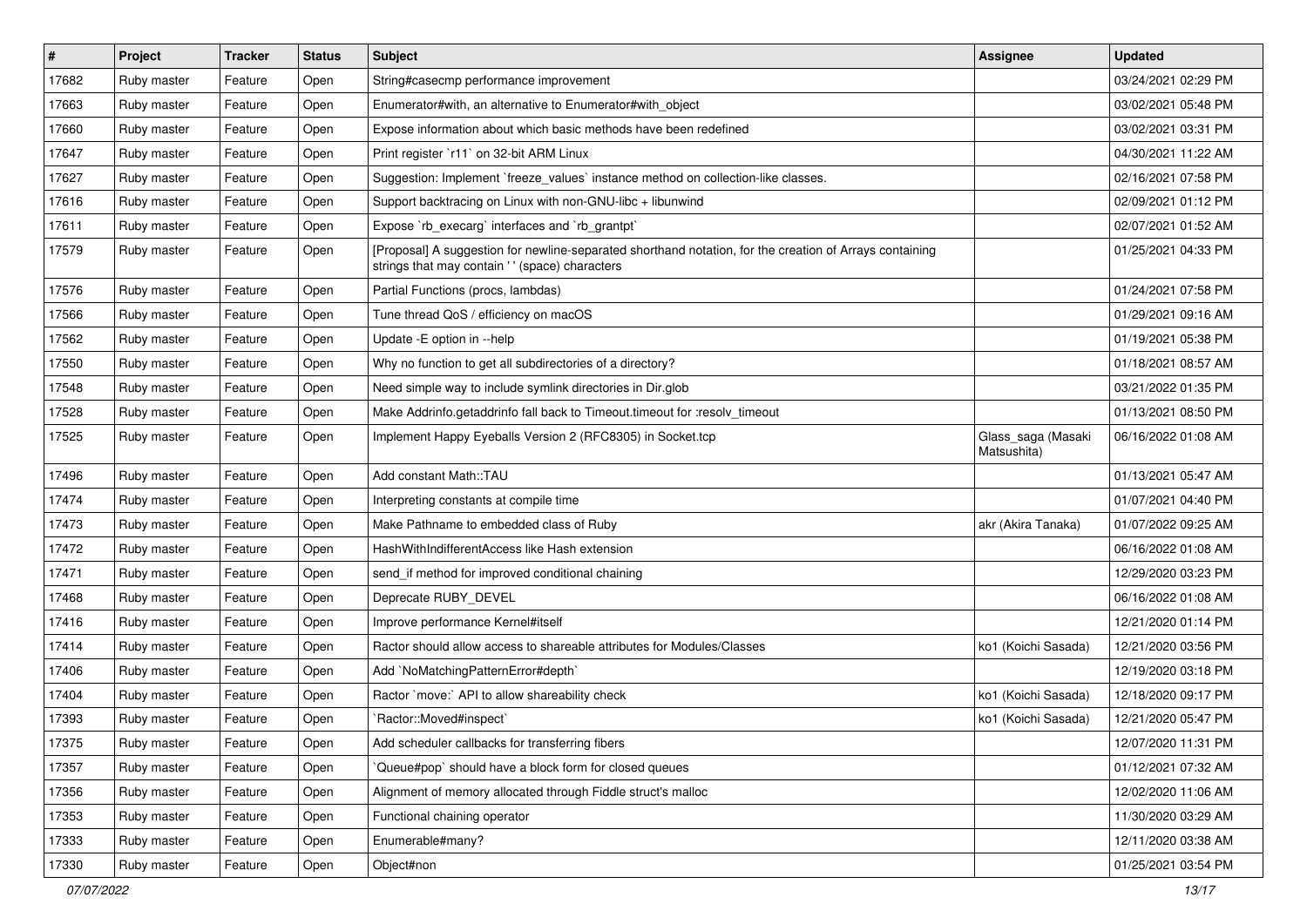| $\vert$ # | Project     | <b>Tracker</b> | <b>Status</b> | <b>Subject</b>                                                                                                                                             | <b>Assignee</b>                   | <b>Updated</b>      |
|-----------|-------------|----------------|---------------|------------------------------------------------------------------------------------------------------------------------------------------------------------|-----------------------------------|---------------------|
| 17682     | Ruby master | Feature        | Open          | String#casecmp performance improvement                                                                                                                     |                                   | 03/24/2021 02:29 PM |
| 17663     | Ruby master | Feature        | Open          | Enumerator#with, an alternative to Enumerator#with_object                                                                                                  |                                   | 03/02/2021 05:48 PM |
| 17660     | Ruby master | Feature        | Open          | Expose information about which basic methods have been redefined                                                                                           |                                   | 03/02/2021 03:31 PM |
| 17647     | Ruby master | Feature        | Open          | Print register `r11` on 32-bit ARM Linux                                                                                                                   |                                   | 04/30/2021 11:22 AM |
| 17627     | Ruby master | Feature        | Open          | Suggestion: Implement `freeze_values` instance method on collection-like classes.                                                                          |                                   | 02/16/2021 07:58 PM |
| 17616     | Ruby master | Feature        | Open          | Support backtracing on Linux with non-GNU-libc + libunwind                                                                                                 |                                   | 02/09/2021 01:12 PM |
| 17611     | Ruby master | Feature        | Open          | Expose `rb_execarg` interfaces and `rb_grantpt`                                                                                                            |                                   | 02/07/2021 01:52 AM |
| 17579     | Ruby master | Feature        | Open          | [Proposal] A suggestion for newline-separated shorthand notation, for the creation of Arrays containing<br>strings that may contain ' ' (space) characters |                                   | 01/25/2021 04:33 PM |
| 17576     | Ruby master | Feature        | Open          | Partial Functions (procs, lambdas)                                                                                                                         |                                   | 01/24/2021 07:58 PM |
| 17566     | Ruby master | Feature        | Open          | Tune thread QoS / efficiency on macOS                                                                                                                      |                                   | 01/29/2021 09:16 AM |
| 17562     | Ruby master | Feature        | Open          | Update - E option in -- help                                                                                                                               |                                   | 01/19/2021 05:38 PM |
| 17550     | Ruby master | Feature        | Open          | Why no function to get all subdirectories of a directory?                                                                                                  |                                   | 01/18/2021 08:57 AM |
| 17548     | Ruby master | Feature        | Open          | Need simple way to include symlink directories in Dir.glob                                                                                                 |                                   | 03/21/2022 01:35 PM |
| 17528     | Ruby master | Feature        | Open          | Make Addrinfo.getaddrinfo fall back to Timeout.timeout for :resolv_timeout                                                                                 |                                   | 01/13/2021 08:50 PM |
| 17525     | Ruby master | Feature        | Open          | Implement Happy Eyeballs Version 2 (RFC8305) in Socket.tcp                                                                                                 | Glass_saga (Masaki<br>Matsushita) | 06/16/2022 01:08 AM |
| 17496     | Ruby master | Feature        | Open          | Add constant Math::TAU                                                                                                                                     |                                   | 01/13/2021 05:47 AM |
| 17474     | Ruby master | Feature        | Open          | Interpreting constants at compile time                                                                                                                     |                                   | 01/07/2021 04:40 PM |
| 17473     | Ruby master | Feature        | Open          | Make Pathname to embedded class of Ruby                                                                                                                    | akr (Akira Tanaka)                | 01/07/2022 09:25 AM |
| 17472     | Ruby master | Feature        | Open          | HashWithIndifferentAccess like Hash extension                                                                                                              |                                   | 06/16/2022 01:08 AM |
| 17471     | Ruby master | Feature        | Open          | send_if method for improved conditional chaining                                                                                                           |                                   | 12/29/2020 03:23 PM |
| 17468     | Ruby master | Feature        | Open          | Deprecate RUBY_DEVEL                                                                                                                                       |                                   | 06/16/2022 01:08 AM |
| 17416     | Ruby master | Feature        | Open          | Improve performance Kernel#itself                                                                                                                          |                                   | 12/21/2020 01:14 PM |
| 17414     | Ruby master | Feature        | Open          | Ractor should allow access to shareable attributes for Modules/Classes                                                                                     | ko1 (Koichi Sasada)               | 12/21/2020 03:56 PM |
| 17406     | Ruby master | Feature        | Open          | Add `NoMatchingPatternError#depth`                                                                                                                         |                                   | 12/19/2020 03:18 PM |
| 17404     | Ruby master | Feature        | Open          | Ractor `move:` API to allow shareability check                                                                                                             | ko1 (Koichi Sasada)               | 12/18/2020 09:17 PM |
| 17393     | Ruby master | Feature        | Open          | Ractor::Moved#inspect`                                                                                                                                     | ko1 (Koichi Sasada)               | 12/21/2020 05:47 PM |
| 17375     | Ruby master | Feature        | Open          | Add scheduler callbacks for transferring fibers                                                                                                            |                                   | 12/07/2020 11:31 PM |
| 17357     | Ruby master | Feature        | Open          | Queue#pop` should have a block form for closed queues                                                                                                      |                                   | 01/12/2021 07:32 AM |
| 17356     | Ruby master | Feature        | Open          | Alignment of memory allocated through Fiddle struct's malloc                                                                                               |                                   | 12/02/2020 11:06 AM |
| 17353     | Ruby master | Feature        | Open          | Functional chaining operator                                                                                                                               |                                   | 11/30/2020 03:29 AM |
| 17333     | Ruby master | Feature        | Open          | Enumerable#many?                                                                                                                                           |                                   | 12/11/2020 03:38 AM |
| 17330     | Ruby master | Feature        | Open          | Object#non                                                                                                                                                 |                                   | 01/25/2021 03:54 PM |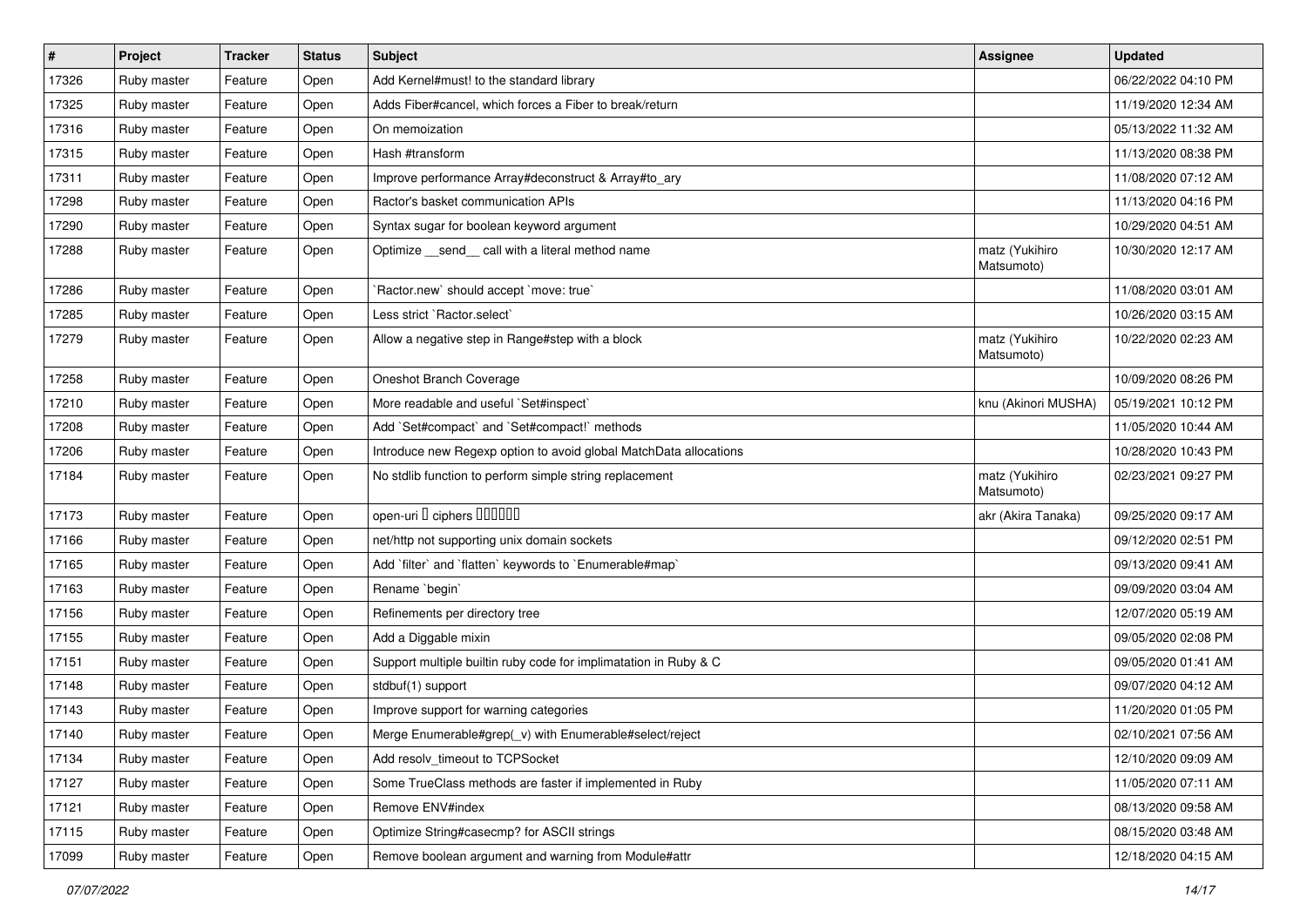| $\sharp$ | Project     | <b>Tracker</b> | <b>Status</b> | <b>Subject</b>                                                    | <b>Assignee</b>              | <b>Updated</b>      |
|----------|-------------|----------------|---------------|-------------------------------------------------------------------|------------------------------|---------------------|
| 17326    | Ruby master | Feature        | Open          | Add Kernel#must! to the standard library                          |                              | 06/22/2022 04:10 PM |
| 17325    | Ruby master | Feature        | Open          | Adds Fiber#cancel, which forces a Fiber to break/return           |                              | 11/19/2020 12:34 AM |
| 17316    | Ruby master | Feature        | Open          | On memoization                                                    |                              | 05/13/2022 11:32 AM |
| 17315    | Ruby master | Feature        | Open          | Hash #transform                                                   |                              | 11/13/2020 08:38 PM |
| 17311    | Ruby master | Feature        | Open          | Improve performance Array#deconstruct & Array#to_ary              |                              | 11/08/2020 07:12 AM |
| 17298    | Ruby master | Feature        | Open          | Ractor's basket communication APIs                                |                              | 11/13/2020 04:16 PM |
| 17290    | Ruby master | Feature        | Open          | Syntax sugar for boolean keyword argument                         |                              | 10/29/2020 04:51 AM |
| 17288    | Ruby master | Feature        | Open          | Optimize _send _call with a literal method name                   | matz (Yukihiro<br>Matsumoto) | 10/30/2020 12:17 AM |
| 17286    | Ruby master | Feature        | Open          | 'Ractor.new' should accept 'move: true'                           |                              | 11/08/2020 03:01 AM |
| 17285    | Ruby master | Feature        | Open          | Less strict `Ractor.select`                                       |                              | 10/26/2020 03:15 AM |
| 17279    | Ruby master | Feature        | Open          | Allow a negative step in Range#step with a block                  | matz (Yukihiro<br>Matsumoto) | 10/22/2020 02:23 AM |
| 17258    | Ruby master | Feature        | Open          | Oneshot Branch Coverage                                           |                              | 10/09/2020 08:26 PM |
| 17210    | Ruby master | Feature        | Open          | More readable and useful `Set#inspect`                            | knu (Akinori MUSHA)          | 05/19/2021 10:12 PM |
| 17208    | Ruby master | Feature        | Open          | Add `Set#compact` and `Set#compact!` methods                      |                              | 11/05/2020 10:44 AM |
| 17206    | Ruby master | Feature        | Open          | Introduce new Regexp option to avoid global MatchData allocations |                              | 10/28/2020 10:43 PM |
| 17184    | Ruby master | Feature        | Open          | No stdlib function to perform simple string replacement           | matz (Yukihiro<br>Matsumoto) | 02/23/2021 09:27 PM |
| 17173    | Ruby master | Feature        | Open          | open-uri I ciphers IIIIIII                                        | akr (Akira Tanaka)           | 09/25/2020 09:17 AM |
| 17166    | Ruby master | Feature        | Open          | net/http not supporting unix domain sockets                       |                              | 09/12/2020 02:51 PM |
| 17165    | Ruby master | Feature        | Open          | Add 'filter' and 'flatten' keywords to 'Enumerable#map'           |                              | 09/13/2020 09:41 AM |
| 17163    | Ruby master | Feature        | Open          | Rename `begin`                                                    |                              | 09/09/2020 03:04 AM |
| 17156    | Ruby master | Feature        | Open          | Refinements per directory tree                                    |                              | 12/07/2020 05:19 AM |
| 17155    | Ruby master | Feature        | Open          | Add a Diggable mixin                                              |                              | 09/05/2020 02:08 PM |
| 17151    | Ruby master | Feature        | Open          | Support multiple builtin ruby code for implimatation in Ruby & C  |                              | 09/05/2020 01:41 AM |
| 17148    | Ruby master | Feature        | Open          | stdbuf(1) support                                                 |                              | 09/07/2020 04:12 AM |
| 17143    | Ruby master | Feature        | Open          | Improve support for warning categories                            |                              | 11/20/2020 01:05 PM |
| 17140    | Ruby master | Feature        | Open          | Merge Enumerable#grep(_v) with Enumerable#select/reject           |                              | 02/10/2021 07:56 AM |
| 17134    | Ruby master | Feature        | Open          | Add resolv timeout to TCPSocket                                   |                              | 12/10/2020 09:09 AM |
| 17127    | Ruby master | Feature        | Open          | Some TrueClass methods are faster if implemented in Ruby          |                              | 11/05/2020 07:11 AM |
| 17121    | Ruby master | Feature        | Open          | Remove ENV#index                                                  |                              | 08/13/2020 09:58 AM |
| 17115    | Ruby master | Feature        | Open          | Optimize String#casecmp? for ASCII strings                        |                              | 08/15/2020 03:48 AM |
| 17099    | Ruby master | Feature        | Open          | Remove boolean argument and warning from Module#attr              |                              | 12/18/2020 04:15 AM |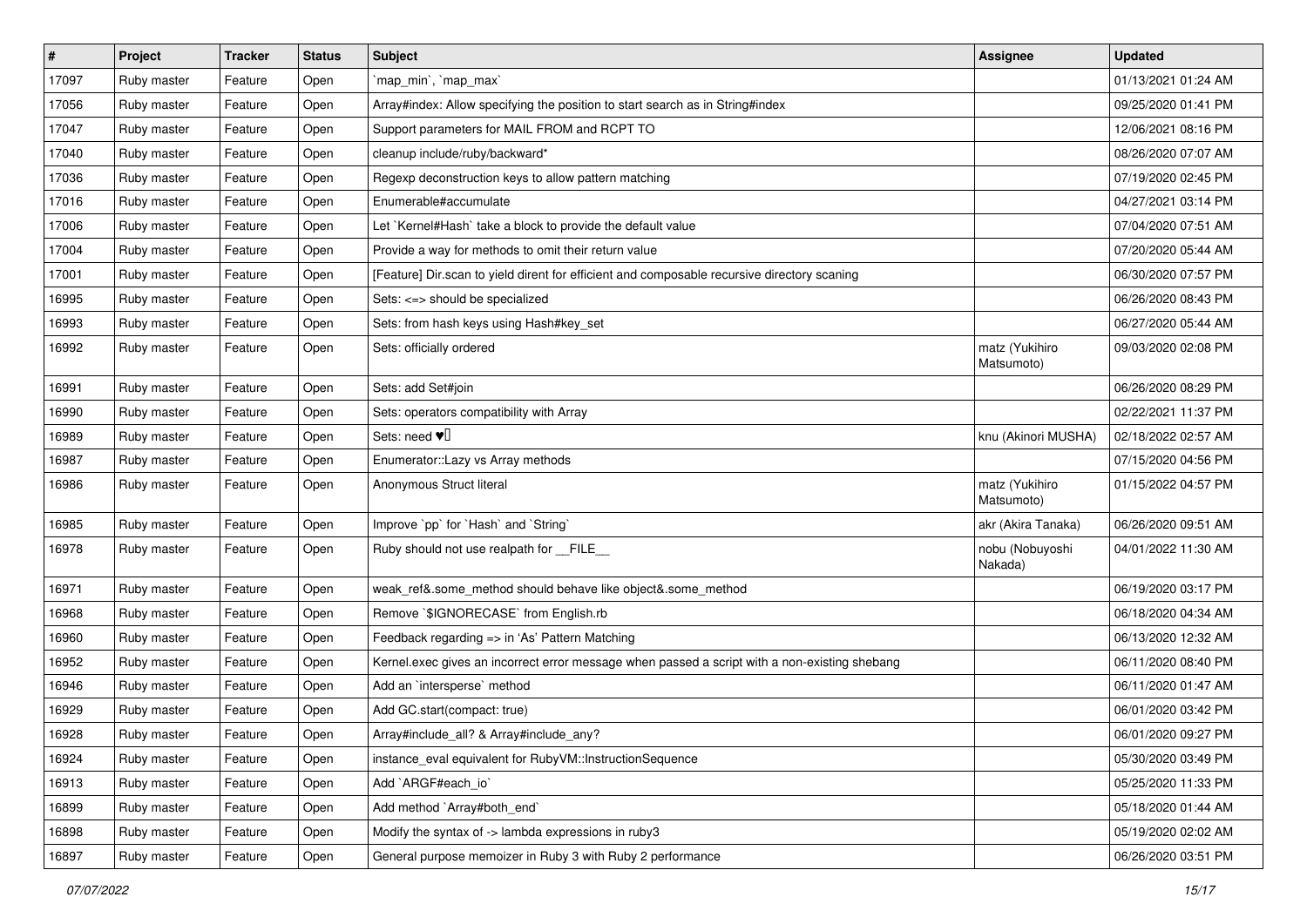| $\pmb{\#}$ | Project     | <b>Tracker</b> | <b>Status</b> | Subject                                                                                       | <b>Assignee</b>              | <b>Updated</b>      |
|------------|-------------|----------------|---------------|-----------------------------------------------------------------------------------------------|------------------------------|---------------------|
| 17097      | Ruby master | Feature        | Open          | `map_min`, `map_max`                                                                          |                              | 01/13/2021 01:24 AM |
| 17056      | Ruby master | Feature        | Open          | Array#index: Allow specifying the position to start search as in String#index                 |                              | 09/25/2020 01:41 PM |
| 17047      | Ruby master | Feature        | Open          | Support parameters for MAIL FROM and RCPT TO                                                  |                              | 12/06/2021 08:16 PM |
| 17040      | Ruby master | Feature        | Open          | cleanup include/ruby/backward*                                                                |                              | 08/26/2020 07:07 AM |
| 17036      | Ruby master | Feature        | Open          | Regexp deconstruction keys to allow pattern matching                                          |                              | 07/19/2020 02:45 PM |
| 17016      | Ruby master | Feature        | Open          | Enumerable#accumulate                                                                         |                              | 04/27/2021 03:14 PM |
| 17006      | Ruby master | Feature        | Open          | Let `Kernel#Hash` take a block to provide the default value                                   |                              | 07/04/2020 07:51 AM |
| 17004      | Ruby master | Feature        | Open          | Provide a way for methods to omit their return value                                          |                              | 07/20/2020 05:44 AM |
| 17001      | Ruby master | Feature        | Open          | [Feature] Dir.scan to yield dirent for efficient and composable recursive directory scaning   |                              | 06/30/2020 07:57 PM |
| 16995      | Ruby master | Feature        | Open          | Sets: <=> should be specialized                                                               |                              | 06/26/2020 08:43 PM |
| 16993      | Ruby master | Feature        | Open          | Sets: from hash keys using Hash#key_set                                                       |                              | 06/27/2020 05:44 AM |
| 16992      | Ruby master | Feature        | Open          | Sets: officially ordered                                                                      | matz (Yukihiro<br>Matsumoto) | 09/03/2020 02:08 PM |
| 16991      | Ruby master | Feature        | Open          | Sets: add Set#join                                                                            |                              | 06/26/2020 08:29 PM |
| 16990      | Ruby master | Feature        | Open          | Sets: operators compatibility with Array                                                      |                              | 02/22/2021 11:37 PM |
| 16989      | Ruby master | Feature        | Open          | Sets: need $\Psi$                                                                             | knu (Akinori MUSHA)          | 02/18/2022 02:57 AM |
| 16987      | Ruby master | Feature        | Open          | Enumerator::Lazy vs Array methods                                                             |                              | 07/15/2020 04:56 PM |
| 16986      | Ruby master | Feature        | Open          | Anonymous Struct literal                                                                      | matz (Yukihiro<br>Matsumoto) | 01/15/2022 04:57 PM |
| 16985      | Ruby master | Feature        | Open          | Improve `pp` for `Hash` and `String`                                                          | akr (Akira Tanaka)           | 06/26/2020 09:51 AM |
| 16978      | Ruby master | Feature        | Open          | Ruby should not use realpath for FILE                                                         | nobu (Nobuyoshi<br>Nakada)   | 04/01/2022 11:30 AM |
| 16971      | Ruby master | Feature        | Open          | weak_ref&.some_method should behave like object&.some_method                                  |                              | 06/19/2020 03:17 PM |
| 16968      | Ruby master | Feature        | Open          | Remove `\$IGNORECASE` from English.rb                                                         |                              | 06/18/2020 04:34 AM |
| 16960      | Ruby master | Feature        | Open          | Feedback regarding => in 'As' Pattern Matching                                                |                              | 06/13/2020 12:32 AM |
| 16952      | Ruby master | Feature        | Open          | Kernel.exec gives an incorrect error message when passed a script with a non-existing shebang |                              | 06/11/2020 08:40 PM |
| 16946      | Ruby master | Feature        | Open          | Add an `intersperse` method                                                                   |                              | 06/11/2020 01:47 AM |
| 16929      | Ruby master | Feature        | Open          | Add GC.start(compact: true)                                                                   |                              | 06/01/2020 03:42 PM |
| 16928      | Ruby master | Feature        | Open          | Array#include_all? & Array#include_any?                                                       |                              | 06/01/2020 09:27 PM |
| 16924      | Ruby master | Feature        | Open          | instance_eval equivalent for RubyVM::InstructionSequence                                      |                              | 05/30/2020 03:49 PM |
| 16913      | Ruby master | Feature        | Open          | Add `ARGF#each_io`                                                                            |                              | 05/25/2020 11:33 PM |
| 16899      | Ruby master | Feature        | Open          | Add method `Array#both_end`                                                                   |                              | 05/18/2020 01:44 AM |
| 16898      | Ruby master | Feature        | Open          | Modify the syntax of -> lambda expressions in ruby3                                           |                              | 05/19/2020 02:02 AM |
| 16897      | Ruby master | Feature        | Open          | General purpose memoizer in Ruby 3 with Ruby 2 performance                                    |                              | 06/26/2020 03:51 PM |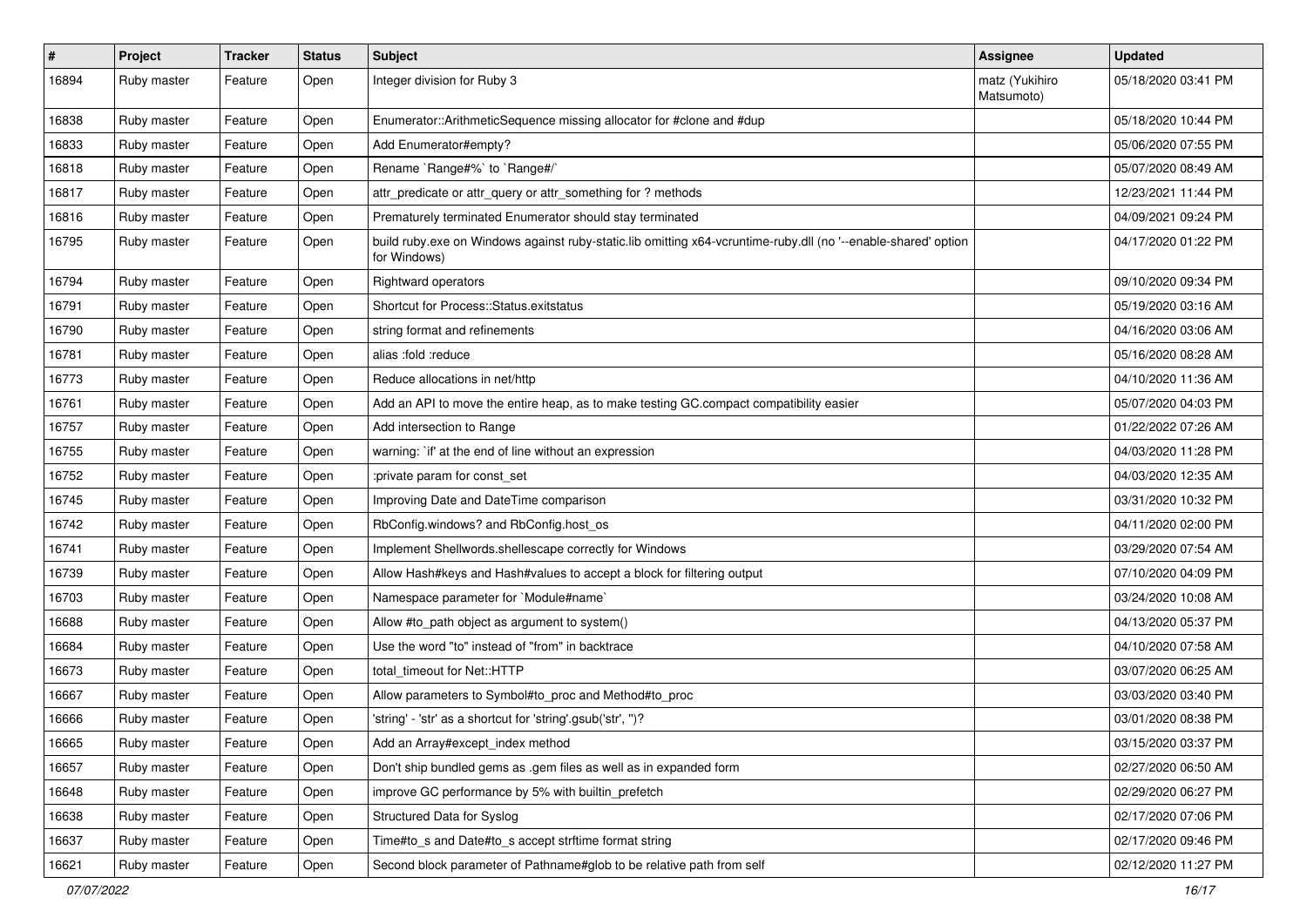| $\sharp$ | Project     | <b>Tracker</b> | <b>Status</b> | <b>Subject</b>                                                                                                                 | <b>Assignee</b>              | <b>Updated</b>      |
|----------|-------------|----------------|---------------|--------------------------------------------------------------------------------------------------------------------------------|------------------------------|---------------------|
| 16894    | Ruby master | Feature        | Open          | Integer division for Ruby 3                                                                                                    | matz (Yukihiro<br>Matsumoto) | 05/18/2020 03:41 PM |
| 16838    | Ruby master | Feature        | Open          | Enumerator::ArithmeticSequence missing allocator for #clone and #dup                                                           |                              | 05/18/2020 10:44 PM |
| 16833    | Ruby master | Feature        | Open          | Add Enumerator#empty?                                                                                                          |                              | 05/06/2020 07:55 PM |
| 16818    | Ruby master | Feature        | Open          | Rename `Range#%` to `Range#/`                                                                                                  |                              | 05/07/2020 08:49 AM |
| 16817    | Ruby master | Feature        | Open          | attr_predicate or attr_query or attr_something for ? methods                                                                   |                              | 12/23/2021 11:44 PM |
| 16816    | Ruby master | Feature        | Open          | Prematurely terminated Enumerator should stay terminated                                                                       |                              | 04/09/2021 09:24 PM |
| 16795    | Ruby master | Feature        | Open          | build ruby.exe on Windows against ruby-static.lib omitting x64-vcruntime-ruby.dll (no '--enable-shared' option<br>for Windows) |                              | 04/17/2020 01:22 PM |
| 16794    | Ruby master | Feature        | Open          | Rightward operators                                                                                                            |                              | 09/10/2020 09:34 PM |
| 16791    | Ruby master | Feature        | Open          | Shortcut for Process::Status.exitstatus                                                                                        |                              | 05/19/2020 03:16 AM |
| 16790    | Ruby master | Feature        | Open          | string format and refinements                                                                                                  |                              | 04/16/2020 03:06 AM |
| 16781    | Ruby master | Feature        | Open          | alias :fold :reduce                                                                                                            |                              | 05/16/2020 08:28 AM |
| 16773    | Ruby master | Feature        | Open          | Reduce allocations in net/http                                                                                                 |                              | 04/10/2020 11:36 AM |
| 16761    | Ruby master | Feature        | Open          | Add an API to move the entire heap, as to make testing GC.compact compatibility easier                                         |                              | 05/07/2020 04:03 PM |
| 16757    | Ruby master | Feature        | Open          | Add intersection to Range                                                                                                      |                              | 01/22/2022 07:26 AM |
| 16755    | Ruby master | Feature        | Open          | warning: `if' at the end of line without an expression                                                                         |                              | 04/03/2020 11:28 PM |
| 16752    | Ruby master | Feature        | Open          | :private param for const_set                                                                                                   |                              | 04/03/2020 12:35 AM |
| 16745    | Ruby master | Feature        | Open          | Improving Date and DateTime comparison                                                                                         |                              | 03/31/2020 10:32 PM |
| 16742    | Ruby master | Feature        | Open          | RbConfig.windows? and RbConfig.host_os                                                                                         |                              | 04/11/2020 02:00 PM |
| 16741    | Ruby master | Feature        | Open          | Implement Shellwords.shellescape correctly for Windows                                                                         |                              | 03/29/2020 07:54 AM |
| 16739    | Ruby master | Feature        | Open          | Allow Hash#keys and Hash#values to accept a block for filtering output                                                         |                              | 07/10/2020 04:09 PM |
| 16703    | Ruby master | Feature        | Open          | Namespace parameter for `Module#name`                                                                                          |                              | 03/24/2020 10:08 AM |
| 16688    | Ruby master | Feature        | Open          | Allow #to_path object as argument to system()                                                                                  |                              | 04/13/2020 05:37 PM |
| 16684    | Ruby master | Feature        | Open          | Use the word "to" instead of "from" in backtrace                                                                               |                              | 04/10/2020 07:58 AM |
| 16673    | Ruby master | Feature        | Open          | total timeout for Net::HTTP                                                                                                    |                              | 03/07/2020 06:25 AM |
| 16667    | Ruby master | Feature        | Open          | Allow parameters to Symbol#to_proc and Method#to_proc                                                                          |                              | 03/03/2020 03:40 PM |
| 16666    | Ruby master | Feature        | Open          | 'string' - 'str' as a shortcut for 'string'.gsub('str', ")?                                                                    |                              | 03/01/2020 08:38 PM |
| 16665    | Ruby master | Feature        | Open          | Add an Array#except_index method                                                                                               |                              | 03/15/2020 03:37 PM |
| 16657    | Ruby master | Feature        | Open          | Don't ship bundled gems as .gem files as well as in expanded form                                                              |                              | 02/27/2020 06:50 AM |
| 16648    | Ruby master | Feature        | Open          | improve GC performance by 5% with builtin_prefetch                                                                             |                              | 02/29/2020 06:27 PM |
| 16638    | Ruby master | Feature        | Open          | Structured Data for Syslog                                                                                                     |                              | 02/17/2020 07:06 PM |
| 16637    | Ruby master | Feature        | Open          | Time#to_s and Date#to_s accept strftime format string                                                                          |                              | 02/17/2020 09:46 PM |
| 16621    | Ruby master | Feature        | Open          | Second block parameter of Pathname#glob to be relative path from self                                                          |                              | 02/12/2020 11:27 PM |